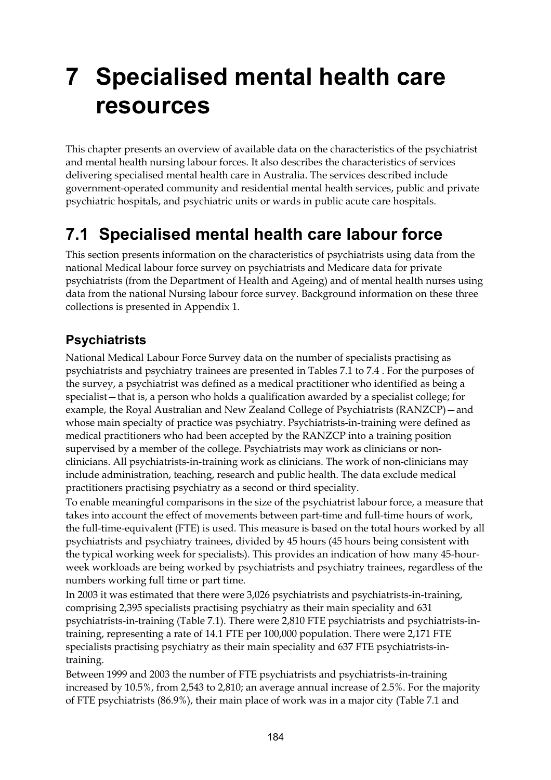# **7 Specialised mental health care resources**

This chapter presents an overview of available data on the characteristics of the psychiatrist and mental health nursing labour forces. It also describes the characteristics of services delivering specialised mental health care in Australia. The services described include government-operated community and residential mental health services, public and private psychiatric hospitals, and psychiatric units or wards in public acute care hospitals.

# **7.1 Specialised mental health care labour force**

This section presents information on the characteristics of psychiatrists using data from the national Medical labour force survey on psychiatrists and Medicare data for private psychiatrists (from the Department of Health and Ageing) and of mental health nurses using data from the national Nursing labour force survey. Background information on these three collections is presented in Appendix 1.

### **Psychiatrists**

National Medical Labour Force Survey data on the number of specialists practising as psychiatrists and psychiatry trainees are presented in Tables 7.1 to 7.4 . For the purposes of the survey, a psychiatrist was defined as a medical practitioner who identified as being a specialist—that is, a person who holds a qualification awarded by a specialist college; for example, the Royal Australian and New Zealand College of Psychiatrists (RANZCP)—and whose main specialty of practice was psychiatry. Psychiatrists-in-training were defined as medical practitioners who had been accepted by the RANZCP into a training position supervised by a member of the college. Psychiatrists may work as clinicians or nonclinicians. All psychiatrists-in-training work as clinicians. The work of non-clinicians may include administration, teaching, research and public health. The data exclude medical practitioners practising psychiatry as a second or third speciality.

To enable meaningful comparisons in the size of the psychiatrist labour force, a measure that takes into account the effect of movements between part-time and full-time hours of work, the full-time-equivalent (FTE) is used. This measure is based on the total hours worked by all psychiatrists and psychiatry trainees, divided by 45 hours (45 hours being consistent with the typical working week for specialists). This provides an indication of how many 45-hourweek workloads are being worked by psychiatrists and psychiatry trainees, regardless of the numbers working full time or part time.

In 2003 it was estimated that there were 3,026 psychiatrists and psychiatrists-in-training, comprising 2,395 specialists practising psychiatry as their main speciality and 631 psychiatrists-in-training (Table 7.1). There were 2,810 FTE psychiatrists and psychiatrists-intraining, representing a rate of 14.1 FTE per 100,000 population. There were 2,171 FTE specialists practising psychiatry as their main speciality and 637 FTE psychiatrists-intraining.

Between 1999 and 2003 the number of FTE psychiatrists and psychiatrists-in-training increased by 10.5%, from 2,543 to 2,810; an average annual increase of 2.5%. For the majority of FTE psychiatrists (86.9%), their main place of work was in a major city (Table 7.1 and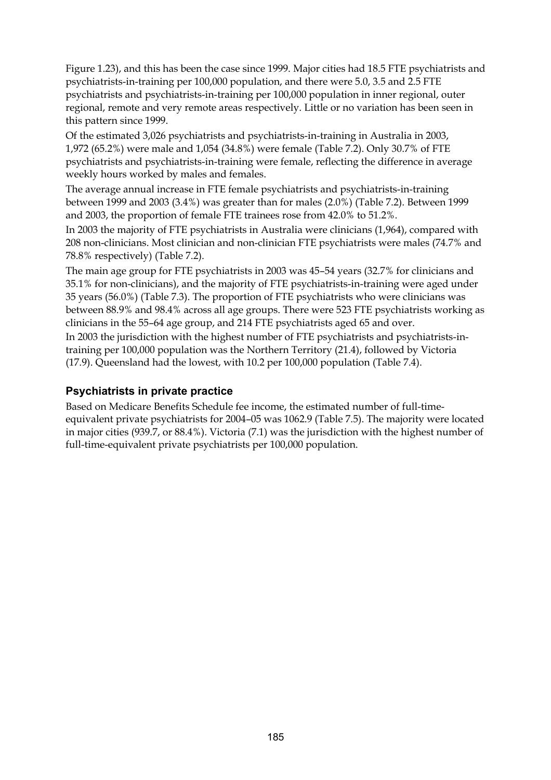Figure 1.23), and this has been the case since 1999. Major cities had 18.5 FTE psychiatrists and psychiatrists-in-training per 100,000 population, and there were 5.0, 3.5 and 2.5 FTE psychiatrists and psychiatrists-in-training per 100,000 population in inner regional, outer regional, remote and very remote areas respectively. Little or no variation has been seen in this pattern since 1999.

Of the estimated 3,026 psychiatrists and psychiatrists-in-training in Australia in 2003, 1,972 (65.2%) were male and 1,054 (34.8%) were female (Table 7.2). Only 30.7% of FTE psychiatrists and psychiatrists-in-training were female, reflecting the difference in average weekly hours worked by males and females.

The average annual increase in FTE female psychiatrists and psychiatrists-in-training between 1999 and 2003 (3.4%) was greater than for males (2.0%) (Table 7.2). Between 1999 and 2003, the proportion of female FTE trainees rose from 42.0% to 51.2%.

In 2003 the majority of FTE psychiatrists in Australia were clinicians (1,964), compared with 208 non-clinicians. Most clinician and non-clinician FTE psychiatrists were males (74.7% and 78.8% respectively) (Table 7.2).

The main age group for FTE psychiatrists in 2003 was 45–54 years (32.7% for clinicians and 35.1% for non-clinicians), and the majority of FTE psychiatrists-in-training were aged under 35 years (56.0%) (Table 7.3). The proportion of FTE psychiatrists who were clinicians was between 88.9% and 98.4% across all age groups. There were 523 FTE psychiatrists working as clinicians in the 55–64 age group, and 214 FTE psychiatrists aged 65 and over.

In 2003 the jurisdiction with the highest number of FTE psychiatrists and psychiatrists-intraining per 100,000 population was the Northern Territory (21.4), followed by Victoria (17.9). Queensland had the lowest, with 10.2 per 100,000 population (Table 7.4).

### **Psychiatrists in private practice**

Based on Medicare Benefits Schedule fee income, the estimated number of full-timeequivalent private psychiatrists for 2004–05 was 1062.9 (Table 7.5). The majority were located in major cities (939.7, or 88.4%). Victoria (7.1) was the jurisdiction with the highest number of full-time-equivalent private psychiatrists per 100,000 population.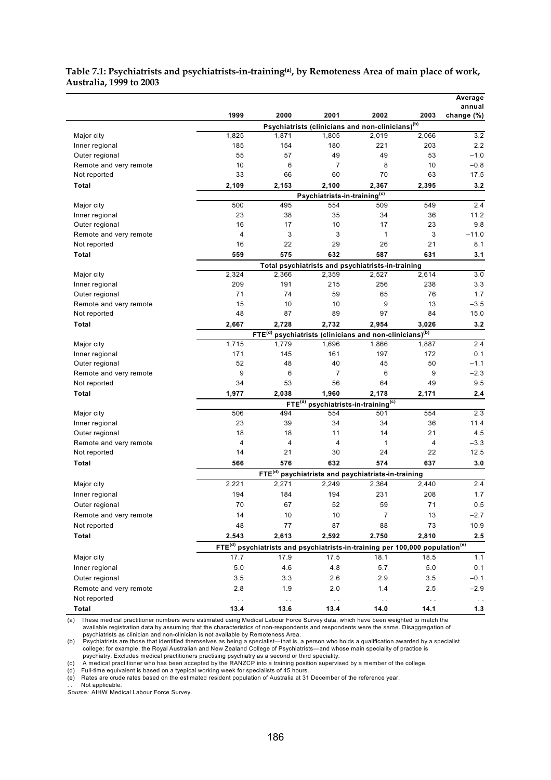|                        |                |                                                                                                      |                                                              |       |       | Average<br>annual |
|------------------------|----------------|------------------------------------------------------------------------------------------------------|--------------------------------------------------------------|-------|-------|-------------------|
|                        | 1999           | 2000                                                                                                 | 2001                                                         | 2002  | 2003  | change (%)        |
|                        |                |                                                                                                      | Psychiatrists (clinicians and non-clinicians) <sup>(b)</sup> |       |       |                   |
| Major city             | 1,825          | 1,871                                                                                                | 1,805                                                        | 2,019 | 2,066 | 3.2               |
| Inner regional         | 185            | 154                                                                                                  | 180                                                          | 221   | 203   | 2.2               |
| Outer regional         | 55             | 57                                                                                                   | 49                                                           | 49    | 53    | $-1.0$            |
| Remote and very remote | 10             | 6                                                                                                    | $\overline{7}$                                               | 8     | 10    | $-0.8$            |
| Not reported           | 33             | 66                                                                                                   | 60                                                           | 70    | 63    | 17.5              |
| Total                  | 2,109          | 2,153                                                                                                | 2,100                                                        | 2,367 | 2,395 | 3.2               |
|                        |                |                                                                                                      | Psychiatrists-in-training <sup>(c)</sup>                     |       |       |                   |
| Major city             | 500            | 495                                                                                                  | 554                                                          | 509   | 549   | 2.4               |
| Inner regional         | 23             | 38                                                                                                   | 35                                                           | 34    | 36    | 11.2              |
| Outer regional         | 16             | 17                                                                                                   | 10                                                           | 17    | 23    | 9.8               |
| Remote and very remote | $\overline{4}$ | 3                                                                                                    | 3                                                            | 1     | 3     | $-11.0$           |
| Not reported           | 16             | 22                                                                                                   | 29                                                           | 26    | 21    | 8.1               |
| Total                  | 559            | 575                                                                                                  | 632                                                          | 587   | 631   | 3.1               |
| Major city             | 2,324          | 2,366                                                                                                | Total psychiatrists and psychiatrists-in-training<br>2,359   | 2,527 | 2,614 | 3.0               |
| Inner regional         | 209            | 191                                                                                                  | 215                                                          | 256   | 238   | 3.3               |
| Outer regional         | 71             | 74                                                                                                   | 59                                                           | 65    | 76    | 1.7               |
| Remote and very remote | 15             | 10                                                                                                   | 10                                                           | 9     | 13    | $-3.5$            |
| Not reported           | 48             | 87                                                                                                   | 89                                                           | 97    | 84    | 15.0              |
| Total                  | 2,667          | 2,728                                                                                                | 2,732                                                        | 2,954 | 3,026 | 3.2               |
|                        |                | FTE <sup>(d)</sup>                                                                                   | psychiatrists (clinicians and non-clinicians) <sup>(b)</sup> |       |       |                   |
| Major city             | 1,715          | 1,779                                                                                                | 1,696                                                        | 1,866 | 1,887 | 2.4               |
| Inner regional         | 171            | 145                                                                                                  | 161                                                          | 197   | 172   | 0.1               |
| Outer regional         | 52             | 48                                                                                                   | 40                                                           | 45    | 50    | $-1.1$            |
| Remote and very remote | 9              | 6                                                                                                    | $\overline{7}$                                               | 6     | 9     | $-2.3$            |
| Not reported           | 34             | 53                                                                                                   | 56                                                           | 64    | 49    | 9.5               |
| Total                  | 1,977          | 2,038                                                                                                | 1,960                                                        | 2,178 | 2,171 | 2.4               |
|                        |                | $FTE^{\overline{(d)}}$                                                                               | psychiatrists-in-training <sup>(c)</sup>                     |       |       |                   |
| Major city             | 506            | 494                                                                                                  | 554                                                          | 501   | 554   | 2.3               |
| Inner regional         | 23             | 39                                                                                                   | 34                                                           | 34    | 36    | 11.4              |
| Outer regional         | 18             | 18                                                                                                   | 11                                                           | 14    | 21    | 4.5               |
| Remote and very remote | 4              | 4                                                                                                    | 4                                                            | 1     | 4     | $-3.3$            |
| Not reported           | 14             | 21                                                                                                   | 30                                                           | 24    | 22    | 12.5              |
| Total                  | 566            | 576                                                                                                  | 632                                                          | 574   | 637   | 3.0               |
|                        |                | FTE <sup>(d)</sup>                                                                                   | psychiatrists and psychiatrists-in-training                  |       |       |                   |
| Major city             | 2,221          | 2,271                                                                                                | 2,249                                                        | 2,364 | 2,440 | 2.4               |
| Inner regional         | 194            | 184                                                                                                  | 194                                                          | 231   | 208   | 1.7               |
| Outer regional         | $70\,$         | 67                                                                                                   | 52                                                           | 59    | 71    | $0.5\,$           |
| Remote and very remote | 14             | 10                                                                                                   | 10                                                           | 7     | 13    | $-2.7$            |
| Not reported           | 48             | 77                                                                                                   | 87                                                           | 88    | 73    | 10.9              |
| Total                  | 2,543          | 2,613                                                                                                | 2,592                                                        | 2,750 | 2,810 | 2.5               |
|                        |                | FTE <sup>(d)</sup> psychiatrists and psychiatrists-in-training per 100,000 population <sup>(e)</sup> |                                                              |       |       |                   |
| Major city             | 17.7           | 17.9                                                                                                 | 17.5                                                         | 18.1  | 18.5  | 1.1               |
| Inner regional         | $5.0\,$        | 4.6                                                                                                  | 4.8                                                          | 5.7   | 5.0   | 0.1               |
| Outer regional         | 3.5            | 3.3                                                                                                  | 2.6                                                          | 2.9   | 3.5   | $-0.1$            |
| Remote and very remote | 2.8            | 1.9                                                                                                  | 2.0                                                          | 1.4   | 2.5   | $-2.9$            |
| Not reported           |                |                                                                                                      |                                                              |       |       |                   |

### **Table 7.1: Psychiatrists and psychiatrists-in-training(a), by Remoteness Area of main place of work, Australia, 1999 to 2003**

(a) These medical practitioner numbers were estimated using Medical Labour Force Survey data, which have been weighted to match the available registration data by assuming that the characteristics of non-respondents and re

 **Total 13.4 13.6 13.4 14.0 14.1 1.3**

(b) Psychiatrists are those that identified themselves as being a specialist—that is, a person who holds a qualification awarded by a specialist<br>college; for example, the Royal Australian and New Zealand College of Psychia

psychiatry. Excludes medical practitioners practising psychiatry as a second or third speciality.<br>(c) A medical practitioner who has been accepted by the RANZCP into a training position supervised by a member of the colleg

(e) Rates are crude rates based on the estimated resident population of Australia at 31 December of the reference year.

. . Not applicable. *Source:* AIHW Medical Labour Force Survey.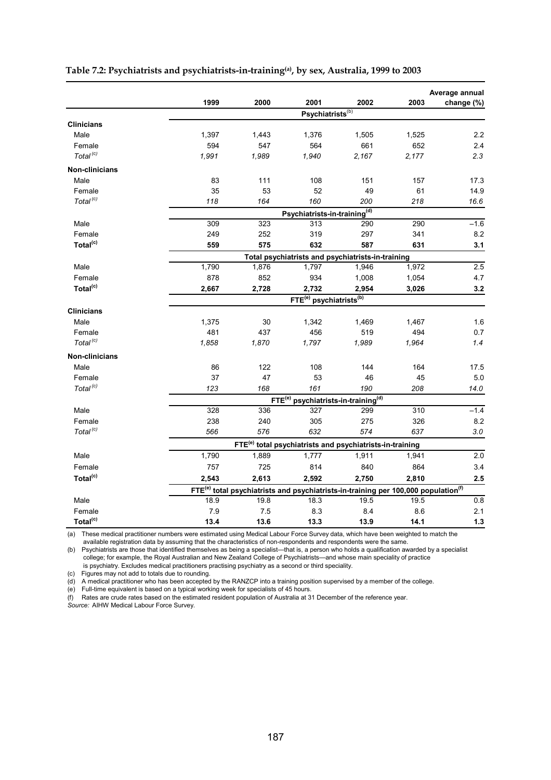|                      |                                                   |                                                                                                            |                                                                      |                                          |       | Average annual |  |  |  |
|----------------------|---------------------------------------------------|------------------------------------------------------------------------------------------------------------|----------------------------------------------------------------------|------------------------------------------|-------|----------------|--|--|--|
|                      | 1999                                              | 2000                                                                                                       | 2001                                                                 | 2002                                     | 2003  | change (%)     |  |  |  |
|                      |                                                   |                                                                                                            | Psychiatrists <sup>(b)</sup>                                         |                                          |       |                |  |  |  |
| <b>Clinicians</b>    |                                                   |                                                                                                            |                                                                      |                                          |       |                |  |  |  |
| Male                 | 1,397                                             | 1,443                                                                                                      | 1,376                                                                | 1,505                                    | 1,525 | 2.2            |  |  |  |
| Female               | 594                                               | 547                                                                                                        | 564                                                                  | 661                                      | 652   | 2.4            |  |  |  |
| Total <sup>(c)</sup> | 1,991                                             | 1,989                                                                                                      | 1,940                                                                | 2,167                                    | 2,177 | 2.3            |  |  |  |
| Non-clinicians       |                                                   |                                                                                                            |                                                                      |                                          |       |                |  |  |  |
| Male                 | 83                                                | 111                                                                                                        | 108                                                                  | 151                                      | 157   | 17.3           |  |  |  |
| Female               | 35                                                | 53                                                                                                         | 52                                                                   | 49                                       | 61    | 14.9           |  |  |  |
| Total <sup>(c)</sup> | 118                                               | 164                                                                                                        | 160                                                                  | 200                                      | 218   | 16.6           |  |  |  |
|                      |                                                   |                                                                                                            | Psychiatrists-in-training <sup>(d)</sup>                             |                                          |       |                |  |  |  |
| Male                 | 309                                               | 323                                                                                                        | 313                                                                  | 290                                      | 290   | $-1.6$         |  |  |  |
| Female               | 249                                               | 252                                                                                                        | 319                                                                  | 297                                      | 341   | 8.2            |  |  |  |
| Total <sup>(c)</sup> | 559                                               | 575                                                                                                        | 632                                                                  | 587                                      | 631   | 3.1            |  |  |  |
|                      | Total psychiatrists and psychiatrists-in-training |                                                                                                            |                                                                      |                                          |       |                |  |  |  |
| Male                 | 1,790                                             | 1,876                                                                                                      | 1,797                                                                | 1,946                                    | 1,972 | 2.5            |  |  |  |
| Female               | 878                                               | 852                                                                                                        | 934                                                                  | 1,008                                    | 1,054 | 4.7            |  |  |  |
| Total <sup>(c)</sup> | 2,667                                             | 2,728                                                                                                      | 2,732                                                                | 2,954                                    | 3,026 | 3.2            |  |  |  |
|                      |                                                   |                                                                                                            | FTE <sup>(e)</sup> psychiatrists <sup>(b)</sup>                      |                                          |       |                |  |  |  |
| <b>Clinicians</b>    |                                                   |                                                                                                            |                                                                      |                                          |       |                |  |  |  |
| Male                 | 1,375                                             | 30                                                                                                         | 1,342                                                                | 1,469                                    | 1,467 | 1.6            |  |  |  |
| Female               | 481                                               | 437                                                                                                        | 456                                                                  | 519                                      | 494   | 0.7            |  |  |  |
| Total <sup>(c)</sup> | 1,858                                             | 1,870                                                                                                      | 1,797                                                                | 1,989                                    | 1,964 | 1.4            |  |  |  |
| Non-clinicians       |                                                   |                                                                                                            |                                                                      |                                          |       |                |  |  |  |
| Male                 | 86                                                | 122                                                                                                        | 108                                                                  | 144                                      | 164   | 17.5           |  |  |  |
| Female               | 37                                                | 47                                                                                                         | 53                                                                   | 46                                       | 45    | 5.0            |  |  |  |
| Total <sup>(c)</sup> | 123                                               | 168                                                                                                        | 161                                                                  | 190                                      | 208   | 14.0           |  |  |  |
|                      |                                                   | FTE <sup>(e)</sup>                                                                                         |                                                                      | psychiatrists-in-training <sup>(d)</sup> |       |                |  |  |  |
| Male                 | 328                                               | 336                                                                                                        | 327                                                                  | 299                                      | 310   | $-1.4$         |  |  |  |
| Female               | 238                                               | 240                                                                                                        | 305                                                                  | 275                                      | 326   | 8.2            |  |  |  |
| Total <sup>(c)</sup> | 566                                               | 576                                                                                                        | 632                                                                  | 574                                      | 637   | 3.0            |  |  |  |
|                      |                                                   |                                                                                                            | FTE <sup>(e)</sup> total psychiatrists and psychiatrists-in-training |                                          |       |                |  |  |  |
| Male                 | 1,790                                             | 1,889                                                                                                      | 1,777                                                                | 1,911                                    | 1,941 | 2.0            |  |  |  |
| Female               | 757                                               | 725                                                                                                        | 814                                                                  | 840                                      | 864   | 3.4            |  |  |  |
| Total <sup>(c)</sup> | 2,543                                             | 2,613                                                                                                      | 2,592                                                                | 2,750                                    | 2,810 | 2.5            |  |  |  |
|                      |                                                   | FTE <sup>(e)</sup> total psychiatrists and psychiatrists-in-training per 100,000 population <sup>(f)</sup> |                                                                      |                                          |       |                |  |  |  |
| Male                 | 18.9                                              | 19.8                                                                                                       | 18.3                                                                 | 19.5                                     | 19.5  | 0.8            |  |  |  |
| Female               | 7.9                                               | 7.5                                                                                                        | 8.3                                                                  | 8.4                                      | 8.6   | 2.1            |  |  |  |
| Total <sup>(c)</sup> | 13.4                                              | 13.6                                                                                                       | 13.3                                                                 | 13.9                                     | 14.1  | $1.3$          |  |  |  |

### **Table 7.2: Psychiatrists and psychiatrists-in-training(a), by sex, Australia, 1999 to 2003**

(a) These medical practitioner numbers were estimated using Medical Labour Force Survey data, which have been weighted to match the available registration data by assuming that the characteristics of non-respondents and respondents were the same.

(b) Psychiatrists are those that identified themselves as being a specialist—that is, a person who holds a qualification awarded by a specialist college; for example, the Royal Australian and New Zealand College of Psychiatrists—and whose main speciality of practice is psychiatry. Excludes medical practitioners practising psychiatry as a second or third speciality.

(c) Figures may not add to totals due to rounding.

(d) A medical practitioner who has been accepted by the RANZCP into a training position supervised by a member of the college.

(e) Full-time equivalent is based on a typical working week for specialists of 45 hours.

(f) Rates are crude rates based on the estimated resident population of Australia at 31 December of the reference year.

*Source:* AIHW Medical Labour Force Survey.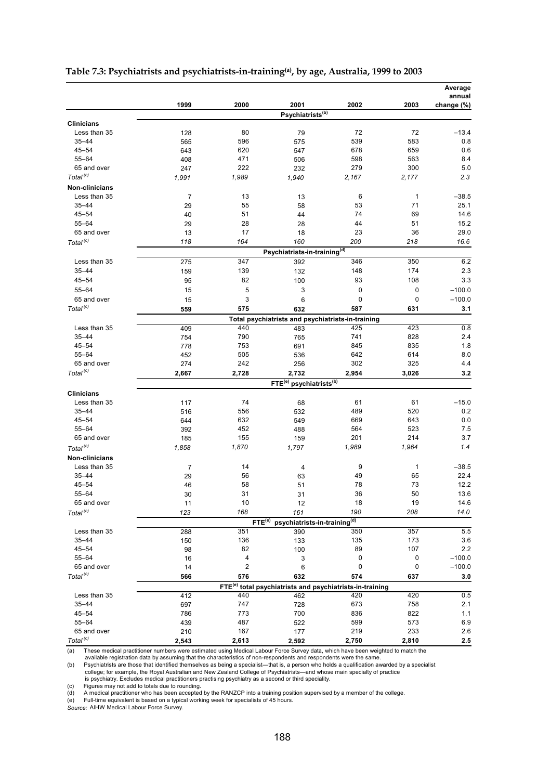|                      |                |                         |                                                 |                                                                      |              | Average<br>annual |
|----------------------|----------------|-------------------------|-------------------------------------------------|----------------------------------------------------------------------|--------------|-------------------|
|                      | 1999           | 2000                    | 2001<br>Psychiatrists <sup>(b)</sup>            | 2002                                                                 | 2003         | change (%)        |
| <b>Clinicians</b>    |                |                         |                                                 |                                                                      |              |                   |
| Less than 35         | 128            | 80                      | 79                                              | 72                                                                   | 72           | $-13.4$           |
| $35 - 44$            | 565            | 596                     | 575                                             | 539                                                                  | 583          | 0.8               |
| $45 - 54$            | 643            | 620                     | 547                                             | 678                                                                  | 659          | 0.6               |
| $55 - 64$            | 408            | 471                     | 506                                             | 598                                                                  | 563          | 8.4               |
| 65 and over          | 247            | 222                     | 232                                             | 279                                                                  | 300          | 5.0               |
| Total <sup>(c)</sup> | 1,991          | 1,989                   | 1,940                                           | 2,167                                                                | 2,177        | 2.3               |
| Non-clinicians       |                |                         |                                                 |                                                                      |              |                   |
| Less than 35         | $\overline{7}$ | 13                      | 13                                              | 6                                                                    | $\mathbf{1}$ | $-38.5$           |
| $35 - 44$            | 29             | 55                      | 58                                              | 53                                                                   | 71           | 25.1              |
| $45 - 54$            | 40             | 51                      | 44                                              | 74                                                                   | 69           | 14.6              |
| $55 - 64$            | 29             | 28                      | 28                                              | 44                                                                   | 51           | 15.2              |
| 65 and over          | 13             | 17                      | 18                                              | 23                                                                   | 36           | 29.0              |
| Total <sup>(c)</sup> | 118            | 164                     | 160                                             | 200                                                                  | 218          | 16.6              |
|                      |                |                         | Psychiatrists-in-training <sup>(d)</sup>        |                                                                      |              |                   |
| Less than 35         | 275            | 347                     | 392                                             | 346                                                                  | 350          | 6.2               |
| $35 - 44$            | 159            | 139                     | 132                                             | 148                                                                  | 174          | 2.3               |
| $45 - 54$            |                |                         |                                                 | 93                                                                   | 108          | 3.3               |
|                      | 95             | 82                      | 100                                             |                                                                      |              |                   |
| 55-64                | 15             | 5                       | 3                                               | 0                                                                    | 0            | $-100.0$          |
| 65 and over          | 15             | 3                       | 6                                               | 0                                                                    | $\mathbf 0$  | $-100.0$          |
| Total <sup>(c)</sup> | 559            | 575                     | 632                                             | 587                                                                  | 631          | 3.1               |
|                      |                |                         |                                                 | Total psychiatrists and psychiatrists-in-training                    |              |                   |
| Less than 35         | 409            | 440                     | 483                                             | 425                                                                  | 423          | 0.8               |
| $35 - 44$            | 754            | 790                     | 765                                             | 741                                                                  | 828          | 2.4               |
| $45 - 54$            | 778            | 753                     | 691                                             | 845                                                                  | 835          | 1.8               |
| 55-64                | 452            | 505                     | 536                                             | 642                                                                  | 614          | 8.0               |
| 65 and over          | 274            | 242                     | 256                                             | 302                                                                  | 325          | 4.4               |
| Total <sup>(c)</sup> | 2,667          | 2,728                   | 2,732                                           | 2,954                                                                | 3,026        | 3.2               |
|                      |                |                         | FTE <sup>(e)</sup> psychiatrists <sup>(b)</sup> |                                                                      |              |                   |
| <b>Clinicians</b>    |                |                         |                                                 |                                                                      |              |                   |
| Less than 35         | 117            | 74                      | 68                                              | 61                                                                   | 61           | $-15.0$           |
| $35 - 44$            | 516            | 556                     | 532                                             | 489                                                                  | 520          | 0.2               |
| $45 - 54$            | 644            | 632                     | 549                                             | 669                                                                  | 643          | 0.0               |
| 55-64                | 392            | 452                     | 488                                             | 564                                                                  | 523          | 7.5               |
| 65 and over          | 185            | 155                     | 159                                             | 201                                                                  | 214          | 3.7               |
| Total <sup>(c)</sup> | 1,858          | 1,870                   | 1,797                                           | 1,989                                                                | 1,964        | 1.4               |
| Non-clinicians       |                |                         |                                                 |                                                                      |              |                   |
| Less than 35         | $\overline{7}$ | 14                      | 4                                               | 9                                                                    | $\mathbf{1}$ | $-38.5$           |
| $35 - 44$            | 29             | 56                      | 63                                              | 49                                                                   | 65           | 22.4              |
| $45 - 54$            | 46             | 58                      | 51                                              | 78                                                                   | 73           | 12.2              |
| $55 - 64$            | 30             | 31                      | 31                                              | 36                                                                   | 50           | 13.6              |
| 65 and over          | 11             | 10                      | 12                                              | 18                                                                   | 19           | 14.6              |
| Total <sup>(c)</sup> | 123            | 168                     | 161                                             | 190                                                                  | 208          | 14.0              |
|                      |                | FTE <sup>(e)</sup>      | psychiatrists-in-training <sup>(d)</sup>        |                                                                      |              |                   |
| Less than 35         | 288            | 351                     | 390                                             | 350                                                                  | 357          | 5.5               |
| $35 - 44$            | 150            | 136                     | 133                                             | 135                                                                  | 173          | 3.6               |
| $45 - 54$            | 98             | 82                      | 100                                             | 89                                                                   | 107          | $2.2\,$           |
| 55-64                | 16             | 4                       | 3                                               | 0                                                                    | 0            | $-100.0$          |
| 65 and over          | 14             | $\overline{\mathbf{c}}$ | 6                                               | 0                                                                    | 0            | $-100.0$          |
| Total <sup>(c)</sup> | 566            | 576                     | 632                                             | 574                                                                  | 637          | 3.0               |
|                      |                |                         |                                                 | FTE <sup>(e)</sup> total psychiatrists and psychiatrists-in-training |              |                   |
| Less than 35         | 412            | 440                     | 462                                             | 420                                                                  | 420          | 0.5               |
| $35 - 44$            | 697            | 747                     | 728                                             | 673                                                                  | 758          | 2.1               |
| $45 - 54$            | 786            | 773                     | 700                                             | 836                                                                  | 822          | 1.1               |
| 55-64                | 439            | 487                     | 522                                             | 599                                                                  | 573          | 6.9               |
| 65 and over          | 210            | 167                     | 177                                             | 219                                                                  | 233          | 2.6               |
| Total <sup>(c)</sup> | 2,543          | 2,613                   | 2,592                                           | 2,750                                                                | 2,810        | 2.5               |

### **Table 7.3: Psychiatrists and psychiatrists-in-training(a), by age, Australia, 1999 to 2003**

(a) These medical practitioner numbers were estimated using Medical Labour Force Survey data, which have been weighted to match the available registration data by assuming that the characteristics of non-respondents and re

(d) A medical practitioner who has been accepted by the RANZCP into a training position supervised by a member of the college. (e) Full-time equivalent is based on a typical working week for specialists of 45 hours.

*Source:* AIHW Medical Labour Force Survey.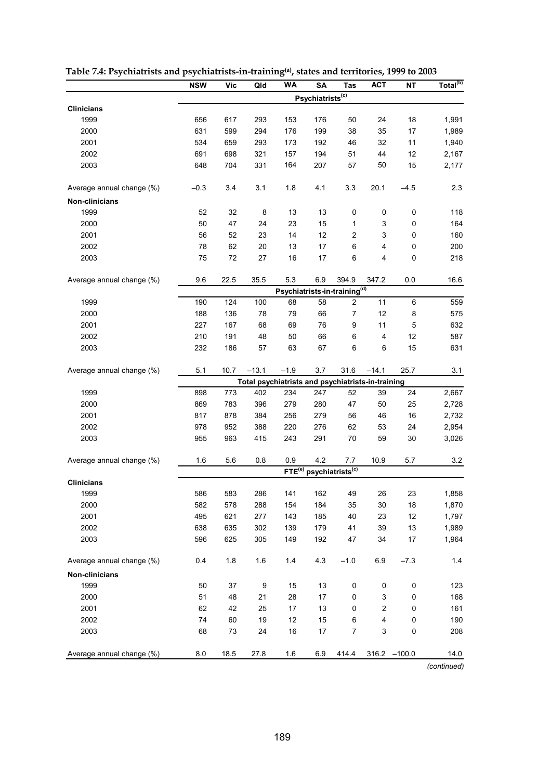|                           | <b>NSW</b> | <b>Vic</b> | Qld     | <b>WA</b>                                         | SA                                       | <b>Tas</b>                   | <b>ACT</b>       | NΤ              | Total <sup>(b)</sup> |
|---------------------------|------------|------------|---------|---------------------------------------------------|------------------------------------------|------------------------------|------------------|-----------------|----------------------|
|                           |            |            |         |                                                   | Psychiatrists <sup>(c)</sup>             |                              |                  |                 |                      |
| <b>Clinicians</b>         |            |            |         |                                                   |                                          |                              |                  |                 |                      |
| 1999                      | 656        | 617        | 293     | 153                                               | 176                                      | 50                           | 24               | 18              | 1,991                |
| 2000                      | 631        | 599        | 294     | 176                                               | 199                                      | 38                           | 35               | 17              | 1,989                |
| 2001                      | 534        | 659        | 293     | 173                                               | 192                                      | 46                           | 32               | 11              | 1,940                |
| 2002                      | 691        | 698        | 321     | 157                                               | 194                                      | 51                           | 44               | 12              | 2,167                |
| 2003                      | 648        | 704        | 331     | 164                                               | 207                                      | 57                           | 50               | 15              | 2,177                |
| Average annual change (%) | $-0.3$     | 3.4        | 3.1     | 1.8                                               | 4.1                                      | 3.3                          | 20.1             | $-4.5$          | 2.3                  |
| Non-clinicians            |            |            |         |                                                   |                                          |                              |                  |                 |                      |
| 1999                      | 52         | 32         | 8       | 13                                                | 13                                       | 0                            | 0                | 0               | 118                  |
| 2000                      | 50         | 47         | 24      | 23                                                | 15                                       | 1                            | 3                | 0               | 164                  |
| 2001                      | 56         | 52         | 23      | 14                                                | 12                                       | 2                            | 3                | 0               | 160                  |
| 2002                      | 78         | 62         | 20      | 13                                                | 17                                       | 6                            | 4                | 0               | 200                  |
| 2003                      | 75         | 72         | 27      | 16                                                | 17                                       | 6                            | 4                | 0               | 218                  |
| Average annual change (%) | 9.6        | 22.5       | 35.5    | 5.3                                               | 6.9                                      | 394.9                        | 347.2            | 0.0             | 16.6                 |
|                           |            |            |         |                                                   | Psychiatrists-in-training <sup>(d)</sup> |                              |                  |                 |                      |
| 1999                      | 190        | 124        | 100     | 68                                                | 58                                       | $\overline{c}$               | 11               | 6               | 559                  |
| 2000                      | 188        | 136        | 78      | 79                                                | 66                                       | 7                            | 12               | 8               | 575                  |
| 2001                      | 227        | 167        | 68      | 69                                                | 76                                       | 9                            | 11               | 5               | 632                  |
| 2002                      | 210        | 191        | 48      | 50                                                | 66                                       | 6                            | 4                | 12              | 587                  |
| 2003                      | 232        | 186        | 57      | 63                                                | 67                                       | 6                            | 6                | 15              | 631                  |
| Average annual change (%) | 5.1        | 10.7       | $-13.1$ | $-1.9$                                            | 3.7                                      | 31.6                         | $-14.1$          | 25.7            | 3.1                  |
|                           |            |            |         | Total psychiatrists and psychiatrists-in-training |                                          |                              |                  |                 |                      |
| 1999                      | 898        | 773        | 402     | 234                                               | 247                                      | 52                           | 39               | 24              | 2,667                |
| 2000                      | 869        | 783        | 396     | 279                                               | 280                                      | 47                           | 50               | 25              | 2,728                |
| 2001                      | 817        | 878        | 384     | 256                                               | 279                                      | 56                           | 46               | 16              | 2,732                |
| 2002                      | 978        | 952        | 388     | 220                                               | 276                                      | 62                           | 53               | 24              | 2,954                |
| 2003                      | 955        | 963        | 415     | 243                                               | 291                                      | 70                           | 59               | 30              | 3,026                |
| Average annual change (%) | 1.6        | 5.6        | 0.8     | 0.9                                               | 4.2                                      | 7.7                          | 10.9             | 5.7             | 3.2                  |
|                           |            |            |         | FTE <sup>(e)</sup>                                |                                          | psychiatrists <sup>(c)</sup> |                  |                 |                      |
| <b>Clinicians</b>         |            |            |         |                                                   |                                          |                              |                  |                 |                      |
| 1999                      | 586        | 583        | 286     | 141                                               | 162                                      | 49                           | 26               | 23              | 1,858                |
| 2000                      | 582        | 578        | 288     | 154                                               | 184                                      | 35                           | $30\,$           | 18              | 1,870                |
| 2001                      | 495        | 621        | 277     | 143                                               | 185                                      | 40                           | 23               | 12              | 1,797                |
| 2002                      | 638        | 635        | 302     | 139                                               | 179                                      | 41                           | 39               | 13              | 1,989                |
| 2003                      | 596        | 625        | 305     | 149                                               | 192                                      | 47                           | 34               | 17              | 1,964                |
| Average annual change (%) | 0.4        | $1.8$      | 1.6     | 1.4                                               | 4.3                                      | $-1.0$                       | 6.9              | $-7.3$          | $1.4$                |
| Non-clinicians            |            |            |         |                                                   |                                          |                              |                  |                 |                      |
| 1999                      | 50         | 37         | 9       | 15                                                | 13                                       | 0                            | 0                | 0               | 123                  |
| 2000                      | 51         | 48         | 21      | 28                                                | 17                                       | $\pmb{0}$                    | 3                | 0               | 168                  |
| 2001                      | 62         | 42         | 25      | 17                                                | 13                                       | 0                            | $\boldsymbol{2}$ | 0               | 161                  |
| 2002                      | 74         | 60         | 19      | 12                                                | 15                                       | $\,6\,$                      | 4                | 0               | 190                  |
| 2003                      | 68         | 73         | 24      | $16\,$                                            | $17\,$                                   | $\boldsymbol{7}$             | 3                | $\pmb{0}$       | 208                  |
| Average annual change (%) | 8.0        | 18.5       | 27.8    | 1.6                                               | 6.9                                      | 414.4                        |                  | $316.2 - 100.0$ | 14.0                 |
|                           |            |            |         |                                                   |                                          |                              |                  |                 | (continued)          |

**Table 7.4: Psychiatrists and psychiatrists-in-training(a), states and territories, 1999 to 2003** 

189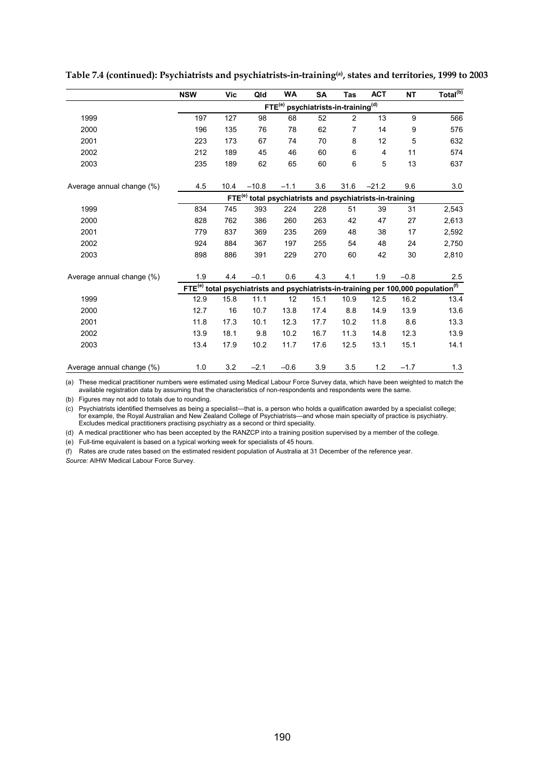|                           | <b>NSW</b> | Vic                                                                  | Qld     | WA                                                          | SΑ   | Tas            | <b>ACT</b> | <b>NT</b> | Total $\overline{^{(b)}}$                                                                                  |  |
|---------------------------|------------|----------------------------------------------------------------------|---------|-------------------------------------------------------------|------|----------------|------------|-----------|------------------------------------------------------------------------------------------------------------|--|
|                           |            |                                                                      |         | FTE <sup>(e)</sup> psychiatrists-in-training <sup>(d)</sup> |      |                |            |           |                                                                                                            |  |
| 1999                      | 197        | 127                                                                  | 98      | 68                                                          | 52   | $\overline{2}$ | 13         | 9         | 566                                                                                                        |  |
| 2000                      | 196        | 135                                                                  | 76      | 78                                                          | 62   | 7              | 14         | 9         | 576                                                                                                        |  |
| 2001                      | 223        | 173                                                                  | 67      | 74                                                          | 70   | 8              | 12         | 5         | 632                                                                                                        |  |
| 2002                      | 212        | 189                                                                  | 45      | 46                                                          | 60   | 6              | 4          | 11        | 574                                                                                                        |  |
| 2003                      | 235        | 189                                                                  | 62      | 65                                                          | 60   | 6              | 5          | 13        | 637                                                                                                        |  |
| Average annual change (%) | 4.5        | 10.4                                                                 | $-10.8$ | $-1.1$                                                      | 3.6  | 31.6           | $-21.2$    | 9.6       | 3.0                                                                                                        |  |
|                           |            | FTE <sup>(e)</sup> total psychiatrists and psychiatrists-in-training |         |                                                             |      |                |            |           |                                                                                                            |  |
| 1999                      | 834        | 745                                                                  | 393     | 224                                                         | 228  | 51             | 39         | 31        | 2,543                                                                                                      |  |
| 2000                      | 828        | 762                                                                  | 386     | 260                                                         | 263  | 42             | 47         | 27        | 2,613                                                                                                      |  |
| 2001                      | 779        | 837                                                                  | 369     | 235                                                         | 269  | 48             | 38         | 17        | 2,592                                                                                                      |  |
| 2002                      | 924        | 884                                                                  | 367     | 197                                                         | 255  | 54             | 48         | 24        | 2,750                                                                                                      |  |
| 2003                      | 898        | 886                                                                  | 391     | 229                                                         | 270  | 60             | 42         | 30        | 2,810                                                                                                      |  |
| Average annual change (%) | 1.9        | 4.4                                                                  | $-0.1$  | 0.6                                                         | 4.3  | 4.1            | 1.9        | $-0.8$    | 2.5                                                                                                        |  |
|                           |            |                                                                      |         |                                                             |      |                |            |           | FTE <sup>(e)</sup> total psychiatrists and psychiatrists-in-training per 100,000 population <sup>(f)</sup> |  |
| 1999                      | 12.9       | 15.8                                                                 | 11.1    | 12                                                          | 15.1 | 10.9           | 12.5       | 16.2      | 13.4                                                                                                       |  |
| 2000                      | 12.7       | 16                                                                   | 10.7    | 13.8                                                        | 17.4 | 8.8            | 14.9       | 13.9      | 13.6                                                                                                       |  |
| 2001                      | 11.8       | 17.3                                                                 | 10.1    | 12.3                                                        | 17.7 | 10.2           | 11.8       | 8.6       | 13.3                                                                                                       |  |
| 2002                      | 13.9       | 18.1                                                                 | 9.8     | 10.2                                                        | 16.7 | 11.3           | 14.8       | 12.3      | 13.9                                                                                                       |  |
| 2003                      | 13.4       | 17.9                                                                 | 10.2    | 11.7                                                        | 17.6 | 12.5           | 13.1       | 15.1      | 14.1                                                                                                       |  |
| Average annual change (%) | 1.0        | 3.2                                                                  | $-2.1$  | $-0.6$                                                      | 3.9  | 3.5            | 1.2        | $-1.7$    | 1.3                                                                                                        |  |

**Table 7.4 (continued): Psychiatrists and psychiatrists-in-training(a), states and territories, 1999 to 2003** 

(a) These medical practitioner numbers were estimated using Medical Labour Force Survey data, which have been weighted to match the available registration data by assuming that the characteristics of non-respondents and respondents were the same.

(b) Figures may not add to totals due to rounding.

(c) Psychiatrists identified themselves as being a specialist—that is, a person who holds a qualification awarded by a specialist college; for example, the Royal Australian and New Zealand College of Psychiatrists—and whose main specialty of practice is psychiatry. Excludes medical practitioners practising psychiatry as a second or third speciality.

(d) A medical practitioner who has been accepted by the RANZCP into a training position supervised by a member of the college.

(e) Full-time equivalent is based on a typical working week for specialists of 45 hours.

(f) Rates are crude rates based on the estimated resident population of Australia at 31 December of the reference year.

*Source:* AIHW Medical Labour Force Survey.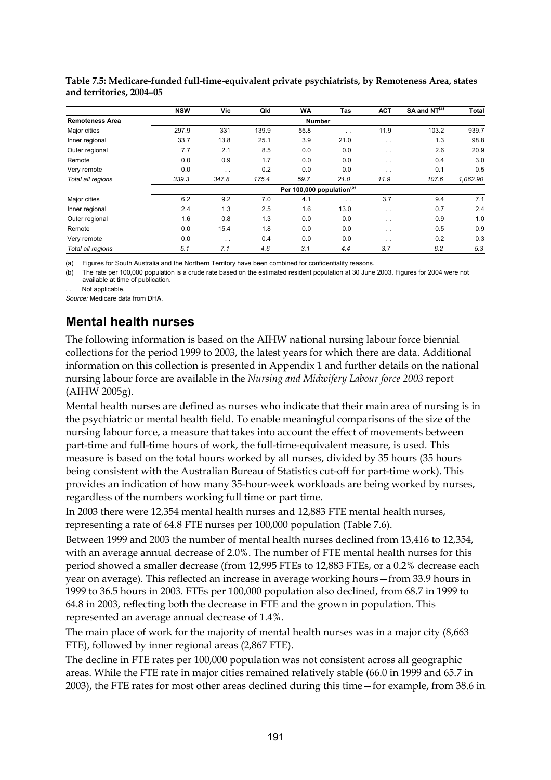|                        | <b>NSW</b> | Vic       | Qld   | <b>WA</b>                             | Tas       | <b>ACT</b>           | SA and $NT(a)$ | Total    |
|------------------------|------------|-----------|-------|---------------------------------------|-----------|----------------------|----------------|----------|
| <b>Remoteness Area</b> |            |           |       | <b>Number</b>                         |           |                      |                |          |
| Major cities           | 297.9      | 331       | 139.9 | 55.8                                  | $\ddotsc$ | 11.9                 | 103.2          | 939.7    |
| Inner regional         | 33.7       | 13.8      | 25.1  | 3.9                                   | 21.0      | $\ddotsc$            | 1.3            | 98.8     |
| Outer regional         | 7.7        | 2.1       | 8.5   | 0.0                                   | 0.0       | $\ddotsc$            | 2.6            | 20.9     |
| Remote                 | 0.0        | 0.9       | 1.7   | 0.0                                   | 0.0       | $\ddotsc$            | 0.4            | 3.0      |
| Very remote            | 0.0        | $\ddotsc$ | 0.2   | 0.0                                   | 0.0       | $\ddotsc$            | 0.1            | 0.5      |
| Total all regions      | 339.3      | 347.8     | 175.4 | 59.7                                  | 21.0      | 11.9                 | 107.6          | 1,062.90 |
|                        |            |           |       | Per 100,000 population <sup>(b)</sup> |           |                      |                |          |
| Major cities           | 6.2        | 9.2       | 7.0   | 4.1                                   | $\ddotsc$ | 3.7                  | 9.4            | 7.1      |
| Inner regional         | 2.4        | 1.3       | 2.5   | 1.6                                   | 13.0      | $\ddotsc$            | 0.7            | 2.4      |
| Outer regional         | 1.6        | 0.8       | 1.3   | 0.0                                   | 0.0       | $\ddot{\phantom{0}}$ | 0.9            | 1.0      |
| Remote                 | 0.0        | 15.4      | 1.8   | 0.0                                   | 0.0       | $\ddotsc$            | 0.5            | 0.9      |
| Very remote            | 0.0        | $\ddotsc$ | 0.4   | 0.0                                   | 0.0       | $\ddotsc$            | 0.2            | 0.3      |
| Total all regions      | 5.1        | 7.1       | 4.6   | 3.1                                   | 4.4       | 3.7                  | 6.2            | 5.3      |

**Table 7.5: Medicare-funded full-time-equivalent private psychiatrists, by Remoteness Area, states and territories, 2004–05** 

(a) Figures for South Australia and the Northern Territory have been combined for confidentiality reasons.

(b) The rate per 100,000 population is a crude rate based on the estimated resident population at 30 June 2003. Figures for 2004 were not available at time of publication.

Not applicable.

*Source:* Medicare data from DHA.

### **Mental health nurses**

The following information is based on the AIHW national nursing labour force biennial collections for the period 1999 to 2003, the latest years for which there are data. Additional information on this collection is presented in Appendix 1 and further details on the national nursing labour force are available in the *Nursing and Midwifery Labour force 2003* report (AIHW 2005g).

Mental health nurses are defined as nurses who indicate that their main area of nursing is in the psychiatric or mental health field. To enable meaningful comparisons of the size of the nursing labour force, a measure that takes into account the effect of movements between part-time and full-time hours of work, the full-time-equivalent measure, is used. This measure is based on the total hours worked by all nurses, divided by 35 hours (35 hours being consistent with the Australian Bureau of Statistics cut-off for part-time work). This provides an indication of how many 35-hour-week workloads are being worked by nurses, regardless of the numbers working full time or part time.

In 2003 there were 12,354 mental health nurses and 12,883 FTE mental health nurses, representing a rate of 64.8 FTE nurses per 100,000 population (Table 7.6).

Between 1999 and 2003 the number of mental health nurses declined from 13,416 to 12,354, with an average annual decrease of 2.0%. The number of FTE mental health nurses for this period showed a smaller decrease (from 12,995 FTEs to 12,883 FTEs, or a 0.2% decrease each year on average). This reflected an increase in average working hours—from 33.9 hours in 1999 to 36.5 hours in 2003. FTEs per 100,000 population also declined, from 68.7 in 1999 to 64.8 in 2003, reflecting both the decrease in FTE and the grown in population. This represented an average annual decrease of 1.4%.

The main place of work for the majority of mental health nurses was in a major city (8,663 FTE), followed by inner regional areas (2,867 FTE).

The decline in FTE rates per 100,000 population was not consistent across all geographic areas. While the FTE rate in major cities remained relatively stable (66.0 in 1999 and 65.7 in 2003), the FTE rates for most other areas declined during this time—for example, from 38.6 in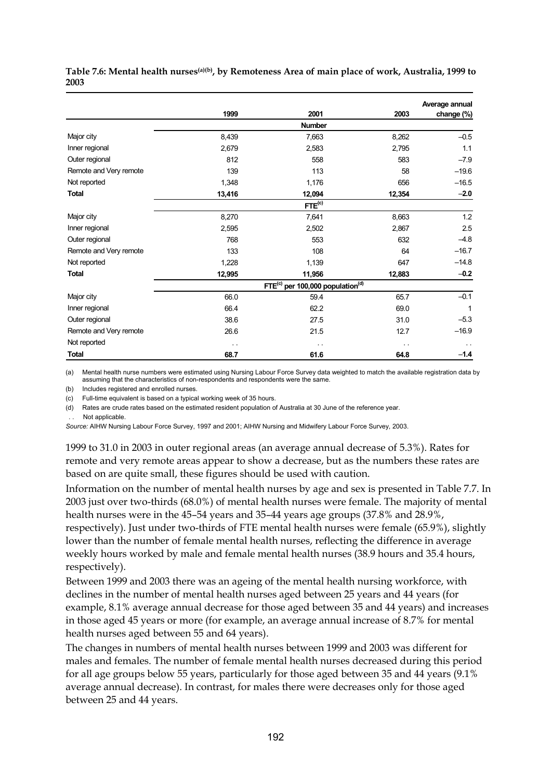|                        |                      |                                                   |               | Average annual |
|------------------------|----------------------|---------------------------------------------------|---------------|----------------|
|                        | 1999                 | 2001                                              | 2003          | change (%)     |
|                        |                      | <b>Number</b>                                     |               |                |
| Major city             | 8,439                | 7,663                                             | 8,262         | $-0.5$         |
| Inner regional         | 2,679                | 2,583                                             | 2,795         | 1.1            |
| Outer regional         | 812                  | 558                                               | 583           | $-7.9$         |
| Remote and Very remote | 139                  | 113                                               | 58            | $-19.6$        |
| Not reported           | 1,348                | 1,176                                             | 656           | $-16.5$        |
| <b>Total</b>           | 13,416               | 12,094                                            | 12,354        | $-2.0$         |
|                        |                      | FTE <sup>(c)</sup>                                |               |                |
| Major city             | 8,270                | 7,641                                             | 8,663         | 1.2            |
| Inner regional         | 2,595                | 2,502                                             | 2,867         | 2.5            |
| Outer regional         | 768                  | 553                                               | 632           | $-4.8$         |
| Remote and Very remote | 133                  | 108                                               | 64            | $-16.7$        |
| Not reported           | 1,228                | 1,139                                             | 647           | $-14.8$        |
| <b>Total</b>           | 12,995               | 11,956                                            | 12,883        | $-0.2$         |
|                        |                      | $FTE^{(c)}$ per 100,000 population <sup>(d)</sup> |               |                |
| Major city             | 66.0                 | 59.4                                              | 65.7          | $-0.1$         |
| Inner regional         | 66.4                 | 62.2                                              | 69.0          | $\mathbf{1}$   |
| Outer regional         | 38.6                 | 27.5                                              | 31.0          | $-5.3$         |
| Remote and Very remote | 26.6                 | 21.5                                              | 12.7          | $-16.9$        |
| Not reported           | $\ddot{\phantom{1}}$ | $\sim$ $\sim$                                     | $\sim$ $\sim$ | $\sim$ $\sim$  |
| <b>Total</b>           | 68.7                 | 61.6                                              | 64.8          | $-1.4$         |

**Table 7.6: Mental health nurses(a)(b), by Remoteness Area of main place of work, Australia, 1999 to 2003**

(a) Mental health nurse numbers were estimated using Nursing Labour Force Survey data weighted to match the available registration data by assuming that the characteristics of non-respondents and respondents were the same.

(b) Includes registered and enrolled nurses.

(c) Full-time equivalent is based on a typical working week of 35 hours.

(d) Rates are crude rates based on the estimated resident population of Australia at 30 June of the reference year.

. Not applicable.

*Source:* AIHW Nursing Labour Force Survey, 1997 and 2001; AIHW Nursing and Midwifery Labour Force Survey, 2003.

1999 to 31.0 in 2003 in outer regional areas (an average annual decrease of 5.3%). Rates for remote and very remote areas appear to show a decrease, but as the numbers these rates are based on are quite small, these figures should be used with caution.

Information on the number of mental health nurses by age and sex is presented in Table 7.7. In 2003 just over two-thirds (68.0%) of mental health nurses were female. The majority of mental health nurses were in the 45–54 years and 35–44 years age groups (37.8% and 28.9%,

respectively). Just under two-thirds of FTE mental health nurses were female (65.9%), slightly lower than the number of female mental health nurses, reflecting the difference in average weekly hours worked by male and female mental health nurses (38.9 hours and 35.4 hours, respectively).

Between 1999 and 2003 there was an ageing of the mental health nursing workforce, with declines in the number of mental health nurses aged between 25 years and 44 years (for example, 8.1% average annual decrease for those aged between 35 and 44 years) and increases in those aged 45 years or more (for example, an average annual increase of 8.7% for mental health nurses aged between 55 and 64 years).

The changes in numbers of mental health nurses between 1999 and 2003 was different for males and females. The number of female mental health nurses decreased during this period for all age groups below 55 years, particularly for those aged between 35 and 44 years (9.1% average annual decrease). In contrast, for males there were decreases only for those aged between 25 and 44 years.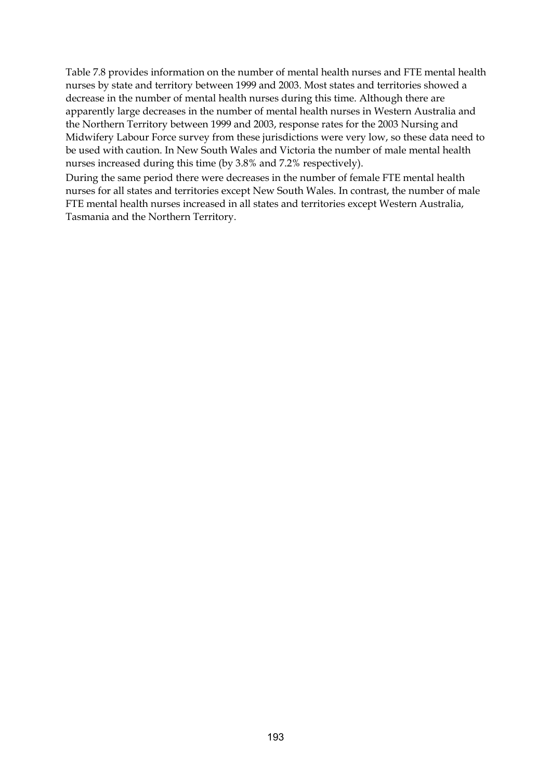Table 7.8 provides information on the number of mental health nurses and FTE mental health nurses by state and territory between 1999 and 2003. Most states and territories showed a decrease in the number of mental health nurses during this time. Although there are apparently large decreases in the number of mental health nurses in Western Australia and the Northern Territory between 1999 and 2003, response rates for the 2003 Nursing and Midwifery Labour Force survey from these jurisdictions were very low, so these data need to be used with caution. In New South Wales and Victoria the number of male mental health nurses increased during this time (by 3.8% and 7.2% respectively).

During the same period there were decreases in the number of female FTE mental health nurses for all states and territories except New South Wales. In contrast, the number of male FTE mental health nurses increased in all states and territories except Western Australia, Tasmania and the Northern Territory.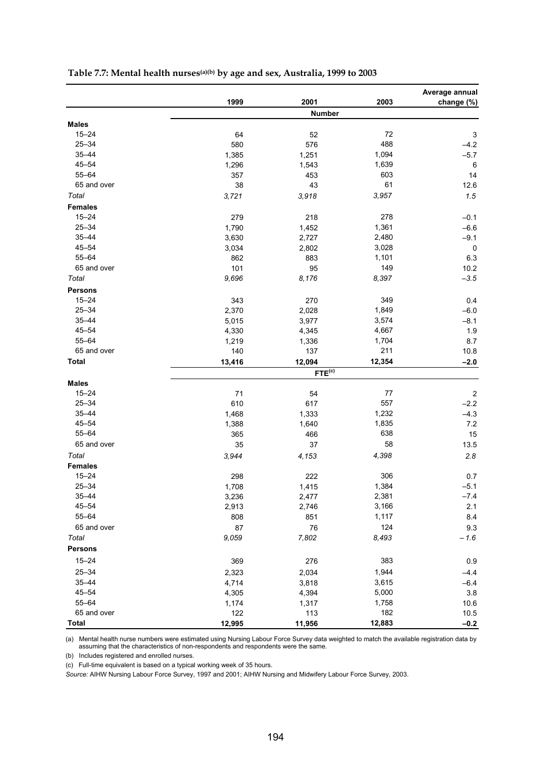|                |        |                        |        | Average annual |
|----------------|--------|------------------------|--------|----------------|
|                | 1999   | 2001                   | 2003   | change (%)     |
|                |        | Number                 |        |                |
| <b>Males</b>   |        |                        |        |                |
| $15 - 24$      | 64     | 52                     | 72     | 3              |
| $25 - 34$      | 580    | 576                    | 488    | $-4.2$         |
| $35 - 44$      | 1,385  | 1,251                  | 1,094  | $-5.7$         |
| $45 - 54$      | 1,296  | 1,543                  | 1,639  | $\,6\,$        |
| $55 - 64$      | 357    | 453                    | 603    | 14             |
| 65 and over    | 38     | 43                     | 61     | 12.6           |
| Total          | 3,721  | 3,918                  | 3,957  | 1.5            |
| <b>Females</b> |        |                        |        |                |
| $15 - 24$      | 279    | 218                    | 278    | $-0.1$         |
| $25 - 34$      | 1,790  | 1,452                  | 1,361  | $-6.6$         |
| $35 - 44$      | 3,630  | 2,727                  | 2,480  | $-9.1$         |
| $45 - 54$      | 3,034  | 2,802                  | 3,028  | $\mathbf 0$    |
| $55 - 64$      | 862    | 883                    | 1,101  | 6.3            |
| 65 and over    | 101    | 95                     | 149    | 10.2           |
| Total          | 9,696  | 8,176                  | 8,397  | $-3.5$         |
| <b>Persons</b> |        |                        |        |                |
| $15 - 24$      | 343    | 270                    | 349    | 0.4            |
| $25 - 34$      | 2,370  | 2,028                  | 1,849  | $-6.0$         |
| $35 - 44$      | 5,015  | 3,977                  | 3,574  | $-8.1$         |
| $45 - 54$      | 4,330  | 4,345                  | 4,667  | 1.9            |
| $55 - 64$      | 1,219  | 1,336                  | 1,704  | 8.7            |
| 65 and over    | 140    | 137                    | 211    | 10.8           |
| <b>Total</b>   | 13,416 | 12,094                 | 12,354 | $-2.0$         |
|                |        | $FTE^{\overline{(c)}}$ |        |                |
| <b>Males</b>   |        |                        |        |                |
| $15 - 24$      | 71     | 54                     | 77     | $\overline{c}$ |
| $25 - 34$      | 610    | 617                    | 557    | $-2.2$         |
| $35 - 44$      | 1,468  | 1,333                  | 1,232  | $-4.3$         |
| $45 - 54$      | 1,388  | 1,640                  | 1,835  | 7.2            |
| $55 - 64$      | 365    | 466                    | 638    | 15             |
| 65 and over    | 35     | 37                     | 58     | 13.5           |
| Total          | 3,944  | 4,153                  | 4,398  | 2.8            |
| <b>Females</b> |        |                        |        |                |
| $15 - 24$      | 298    | 222                    | 306    | 0.7            |
| $25 - 34$      | 1,708  | 1,415                  | 1,384  | $-5.1$         |
| $35 - 44$      | 3,236  | 2,477                  | 2,381  | $-7.4$         |
| $45 - 54$      | 2,913  | 2,746                  | 3,166  | 2.1            |
| $55 - 64$      | 808    | 851                    | 1,117  | 8.4            |
| 65 and over    | 87     | ${\bf 76}$             | 124    | 9.3            |
| Total          | 9,059  | 7,802                  | 8,493  | $-1.6$         |
|                |        |                        |        |                |
| <b>Persons</b> |        |                        |        |                |
| $15 - 24$      | 369    | 276                    | 383    | 0.9            |
| $25 - 34$      | 2,323  | 2,034                  | 1,944  | $-4.4$         |
| $35 - 44$      | 4,714  | 3,818                  | 3,615  | $-6.4$         |
| $45 - 54$      | 4,305  | 4,394                  | 5,000  | $3.8\,$        |
| $55 - 64$      | 1,174  | 1,317                  | 1,758  | 10.6           |
| 65 and over    | 122    | 113                    | 182    | 10.5           |
| <b>Total</b>   | 12,995 | 11,956                 | 12,883 | $-0.2$         |

### **Table 7.7: Mental health nurses(a)(b) by age and sex, Australia, 1999 to 2003**

(a) Mental health nurse numbers were estimated using Nursing Labour Force Survey data weighted to match the available registration data by assuming that the characteristics of non-respondents and respondents were the same.

(b) Includes registered and enrolled nurses.

(c) Full-time equivalent is based on a typical working week of 35 hours.

Source: AIHW Nursing Labour Force Survey, 1997 and 2001; AIHW Nursing and Midwifery Labour Force Survey, 2003.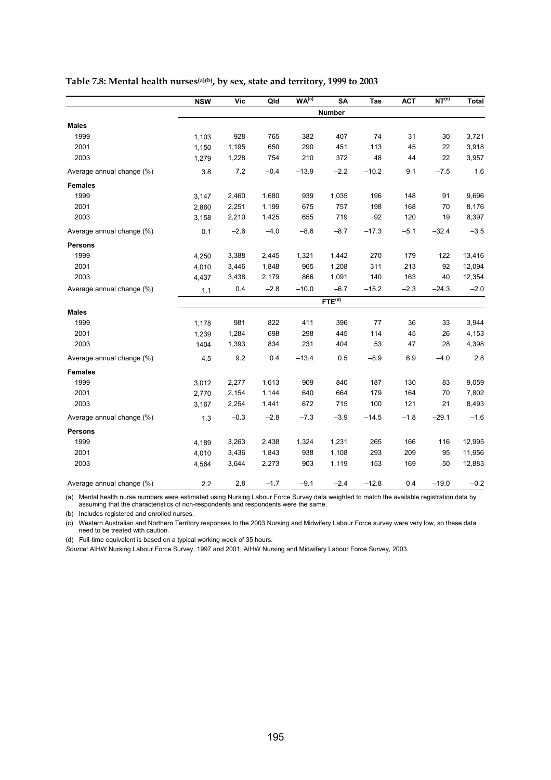|                           | <b>NSW</b> | <b>Vic</b> | Qld    | WA <sup>(c)</sup> | SA                 | Tas     | <b>ACT</b> | NT <sup>(c)</sup> | <b>Total</b> |
|---------------------------|------------|------------|--------|-------------------|--------------------|---------|------------|-------------------|--------------|
|                           |            |            |        |                   | Number             |         |            |                   |              |
| <b>Males</b>              |            |            |        |                   |                    |         |            |                   |              |
| 1999                      | 1,103      | 928        | 765    | 382               | 407                | 74      | 31         | 30                | 3,721        |
| 2001                      | 1,150      | 1,195      | 650    | 290               | 451                | 113     | 45         | 22                | 3,918        |
| 2003                      | 1,279      | 1,228      | 754    | 210               | 372                | 48      | 44         | 22                | 3,957        |
| Average annual change (%) | 3.8        | 7.2        | $-0.4$ | $-13.9$           | $-2.2$             | $-10.2$ | 9.1        | $-7.5$            | 1.6          |
| <b>Females</b>            |            |            |        |                   |                    |         |            |                   |              |
| 1999                      | 3,147      | 2,460      | 1,680  | 939               | 1,035              | 196     | 148        | 91                | 9,696        |
| 2001                      | 2,860      | 2,251      | 1,199  | 675               | 757                | 198     | 168        | 70                | 8,176        |
| 2003                      | 3,158      | 2,210      | 1,425  | 655               | 719                | 92      | 120        | 19                | 8,397        |
| Average annual change (%) | 0.1        | $-2.6$     | $-4.0$ | $-8.6$            | $-8.7$             | $-17.3$ | $-5.1$     | $-32.4$           | $-3.5$       |
| <b>Persons</b>            |            |            |        |                   |                    |         |            |                   |              |
| 1999                      | 4,250      | 3,388      | 2,445  | 1,321             | 1,442              | 270     | 179        | 122               | 13,416       |
| 2001                      | 4,010      | 3,446      | 1,848  | 965               | 1,208              | 311     | 213        | 92                | 12,094       |
| 2003                      | 4,437      | 3,438      | 2,179  | 866               | 1,091              | 140     | 163        | 40                | 12,354       |
| Average annual change (%) | 1.1        | 0.4        | $-2.8$ | $-10.0$           | $-6.7$             | $-15.2$ | $-2.3$     | $-24.3$           | $-2.0$       |
|                           |            |            |        |                   | FTE <sup>(d)</sup> |         |            |                   |              |
| <b>Males</b>              |            |            |        |                   |                    |         |            |                   |              |
| 1999                      | 1,178      | 981        | 822    | 411               | 396                | 77      | 36         | 33                | 3,944        |
| 2001                      | 1,239      | 1,284      | 698    | 298               | 445                | 114     | 45         | 26                | 4,153        |
| 2003                      | 1404       | 1,393      | 834    | 231               | 404                | 53      | 47         | 28                | 4,398        |
| Average annual change (%) | 4.5        | 9.2        | 0.4    | $-13.4$           | 0.5                | $-8.9$  | 6.9        | $-4.0$            | 2.8          |
| <b>Females</b>            |            |            |        |                   |                    |         |            |                   |              |
| 1999                      | 3,012      | 2,277      | 1,613  | 909               | 840                | 187     | 130        | 83                | 9,059        |
| 2001                      | 2,770      | 2,154      | 1,144  | 640               | 664                | 179     | 164        | 70                | 7,802        |
| 2003                      | 3,167      | 2,254      | 1,441  | 672               | 715                | 100     | 121        | 21                | 8,493        |
| Average annual change (%) | 1.3        | $-0.3$     | $-2.8$ | $-7.3$            | $-3.9$             | $-14.5$ | $-1.8$     | $-29.1$           | $-1.6$       |
| <b>Persons</b>            |            |            |        |                   |                    |         |            |                   |              |
| 1999                      | 4,189      | 3,263      | 2,438  | 1,324             | 1,231              | 265     | 166        | 116               | 12,995       |
| 2001                      | 4,010      | 3,436      | 1,843  | 938               | 1,108              | 293     | 209        | 95                | 11,956       |
| 2003                      | 4,564      | 3,644      | 2,273  | 903               | 1,119              | 153     | 169        | 50                | 12,883       |
| Average annual change (%) | 2.2        | 2.8        | $-1.7$ | $-9.1$            | $-2.4$             | $-12.8$ | 0.4        | $-19.0$           | $-0.2$       |

### **Table 7.8: Mental health nurses(a)(b), by sex, state and territory, 1999 to 2003**

(a) Mental health nurse numbers were estimated using Nursing Labour Force Survey data weighted to match the available registration data by assuming that the characteristics of non-respondents and respondents were the same.

(b) Includes registered and enrolled nurses.

(c) Western Australian and Northern Territory responses to the 2003 Nursing and Midwifery Labour Force survey were very low, so these data need to be treated with caution.

(d) Full-time equivalent is based on a typical working week of 35 hours.

*Source:* AIHW Nursing Labour Force Survey, 1997 and 2001; AIHW Nursing and Midwifery Labour Force Survey, 2003.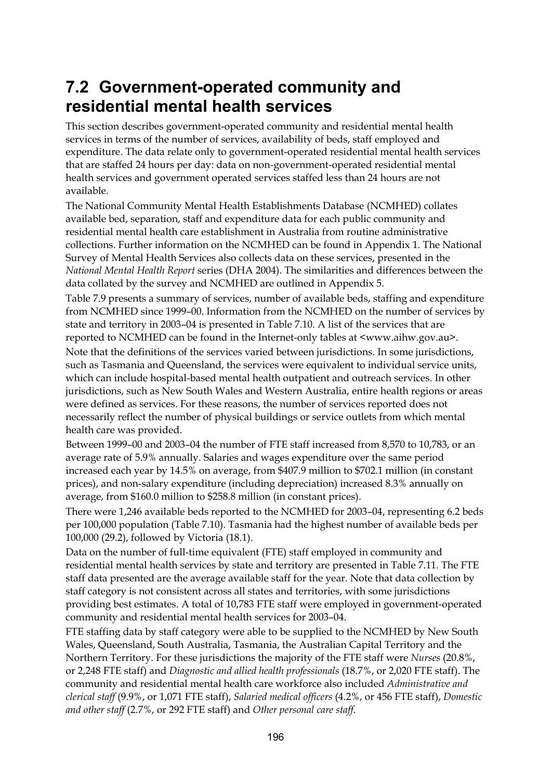## **7.2 Government-operated community and residential mental health services**

This section describes government-operated community and residential mental health services in terms of the number of services, availability of beds, staff employed and expenditure. The data relate only to government-operated residential mental health services that are staffed 24 hours per day: data on non-government-operated residential mental health services and government operated services staffed less than 24 hours are not available.

The National Community Mental Health Establishments Database (NCMHED) collates available bed, separation, staff and expenditure data for each public community and residential mental health care establishment in Australia from routine administrative collections. Further information on the NCMHED can be found in Appendix 1. The National Survey of Mental Health Services also collects data on these services, presented in the *National Mental Health Report* series (DHA 2004). The similarities and differences between the data collated by the survey and NCMHED are outlined in Appendix 5.

Table 7.9 presents a summary of services, number of available beds, staffing and expenditure from NCMHED since 1999–00. Information from the NCMHED on the number of services by state and territory in 2003–04 is presented in Table 7.10. A list of the services that are reported to NCMHED can be found in the Internet-only tables at <www.aihw.gov.au>. Note that the definitions of the services varied between jurisdictions. In some jurisdictions, such as Tasmania and Queensland, the services were equivalent to individual service units, which can include hospital-based mental health outpatient and outreach services. In other jurisdictions, such as New South Wales and Western Australia, entire health regions or areas were defined as services. For these reasons, the number of services reported does not necessarily reflect the number of physical buildings or service outlets from which mental health care was provided.

Between 1999–00 and 2003–04 the number of FTE staff increased from 8,570 to 10,783, or an average rate of 5.9% annually. Salaries and wages expenditure over the same period increased each year by 14.5% on average, from \$407.9 million to \$702.1 million (in constant prices), and non-salary expenditure (including depreciation) increased 8.3% annually on average, from \$160.0 million to \$258.8 million (in constant prices).

There were 1,246 available beds reported to the NCMHED for 2003–04, representing 6.2 beds per 100,000 population (Table 7.10). Tasmania had the highest number of available beds per 100,000 (29.2), followed by Victoria (18.1).

Data on the number of full-time equivalent (FTE) staff employed in community and residential mental health services by state and territory are presented in Table 7.11. The FTE staff data presented are the average available staff for the year. Note that data collection by staff category is not consistent across all states and territories, with some jurisdictions providing best estimates. A total of 10,783 FTE staff were employed in government-operated community and residential mental health services for 2003–04.

FTE staffing data by staff category were able to be supplied to the NCMHED by New South Wales, Queensland, South Australia, Tasmania, the Australian Capital Territory and the Northern Territory. For these jurisdictions the majority of the FTE staff were *Nurses* (20.8%, or 2,248 FTE staff) and *Diagnostic and allied health professionals* (18.7%, or 2,020 FTE staff). The community and residential mental health care workforce also included *Administrative and clerical staff* (9.9%, or 1,071 FTE staff), *Salaried medical officers* (4.2%, or 456 FTE staff), *Domestic and other staff* (2.7%, or 292 FTE staff) and *Other personal care staff*.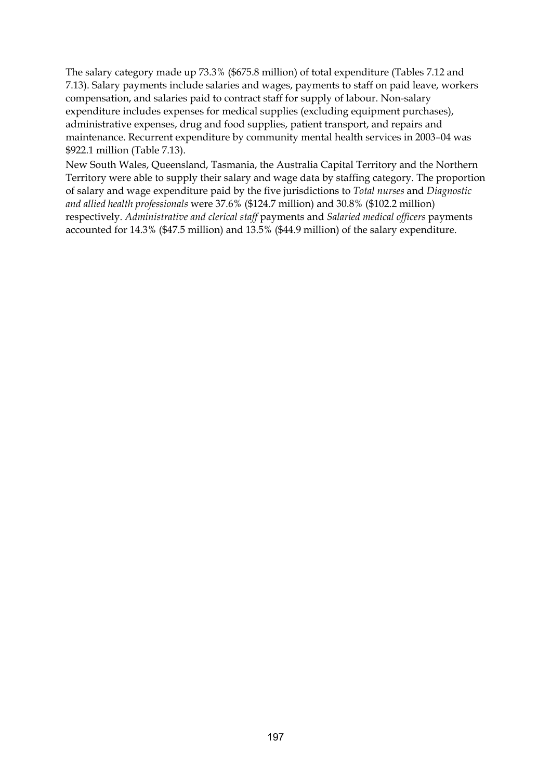The salary category made up 73.3% (\$675.8 million) of total expenditure (Tables 7.12 and 7.13). Salary payments include salaries and wages, payments to staff on paid leave, workers compensation, and salaries paid to contract staff for supply of labour. Non-salary expenditure includes expenses for medical supplies (excluding equipment purchases), administrative expenses, drug and food supplies, patient transport, and repairs and maintenance. Recurrent expenditure by community mental health services in 2003–04 was \$922.1 million (Table 7.13).

New South Wales, Queensland, Tasmania, the Australia Capital Territory and the Northern Territory were able to supply their salary and wage data by staffing category. The proportion of salary and wage expenditure paid by the five jurisdictions to *Total nurses* and *Diagnostic and allied health professionals* were 37.6% (\$124.7 million) and 30.8% (\$102.2 million) respectively. *Administrative and clerical staff* payments and *Salaried medical officers* payments accounted for 14.3% (\$47.5 million) and 13.5% (\$44.9 million) of the salary expenditure.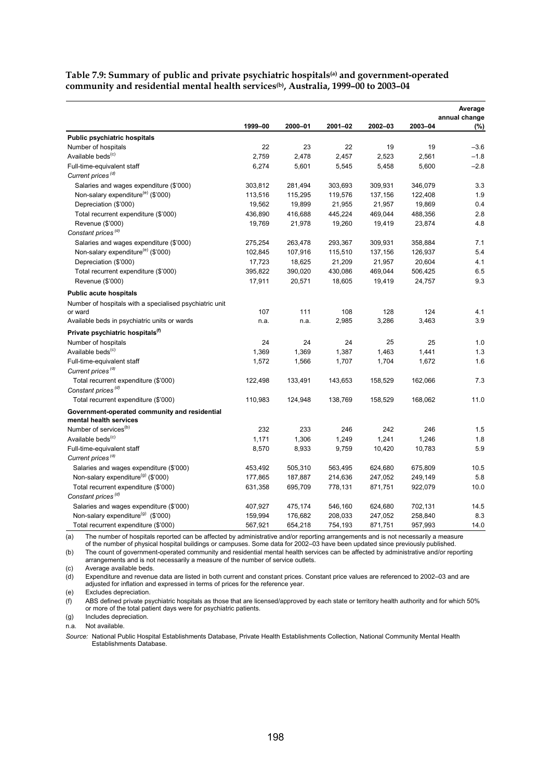| Table 7.9: Summary of public and private psychiatric hospitals <sup>(a)</sup> and government-operated |  |
|-------------------------------------------------------------------------------------------------------|--|
| community and residential mental health services <sup>(b)</sup> , Australia, 1999–00 to 2003–04       |  |

|                                                         |         |         |         |         |         | Average<br>annual change |
|---------------------------------------------------------|---------|---------|---------|---------|---------|--------------------------|
|                                                         | 1999-00 | 2000-01 | 2001-02 | 2002-03 | 2003-04 | (%)                      |
| <b>Public psychiatric hospitals</b>                     |         |         |         |         |         |                          |
| Number of hospitals                                     | 22      | 23      | 22      | 19      | 19      | $-3.6$                   |
| Available beds <sup>(c)</sup>                           | 2,759   | 2,478   | 2,457   | 2,523   | 2,561   | $-1.8$                   |
| Full-time-equivalent staff                              | 6,274   | 5,601   | 5,545   | 5,458   | 5,600   | $-2.8$                   |
| Current prices <sup>(d)</sup>                           |         |         |         |         |         |                          |
| Salaries and wages expenditure (\$'000)                 | 303,812 | 281,494 | 303,693 | 309,931 | 346,079 | 3.3                      |
| Non-salary expenditure <sup>(e)</sup> (\$'000)          | 113,516 | 115,295 | 119,576 | 137,156 | 122,408 | 1.9                      |
| Depreciation (\$'000)                                   | 19,562  | 19,899  | 21,955  | 21,957  | 19,869  | 0.4                      |
| Total recurrent expenditure (\$'000)                    | 436,890 | 416,688 | 445,224 | 469,044 | 488,356 | 2.8                      |
| Revenue (\$'000)                                        | 19,769  | 21,978  | 19,260  | 19,419  | 23,874  | 4.8                      |
| Constant prices <sup>(d)</sup>                          |         |         |         |         |         |                          |
| Salaries and wages expenditure (\$'000)                 | 275,254 | 263,478 | 293,367 | 309,931 | 358,884 | 7.1                      |
| Non-salary expenditure <sup>(e)</sup> (\$'000)          | 102,845 | 107,916 | 115,510 | 137,156 | 126,937 | 5.4                      |
| Depreciation (\$'000)                                   | 17,723  | 18,625  | 21,209  | 21,957  | 20,604  | 4.1                      |
| Total recurrent expenditure (\$'000)                    | 395,822 | 390,020 | 430,086 | 469,044 | 506,425 | 6.5                      |
| Revenue (\$'000)                                        | 17,911  | 20,571  | 18,605  | 19,419  | 24,757  | 9.3                      |
| <b>Public acute hospitals</b>                           |         |         |         |         |         |                          |
| Number of hospitals with a specialised psychiatric unit |         |         |         |         |         |                          |
| or ward                                                 | 107     | 111     | 108     | 128     | 124     | 4.1                      |
| Available beds in psychiatric units or wards            | n.a.    | n.a.    | 2,985   | 3,286   | 3,463   | 3.9                      |
| Private psychiatric hospitals <sup>(f)</sup>            |         |         |         |         |         |                          |
| Number of hospitals                                     | 24      | 24      | 24      | 25      | 25      | 1.0                      |
| Available beds <sup>(c)</sup>                           | 1,369   | 1,369   | 1,387   | 1,463   | 1,441   | 1.3                      |
| Full-time-equivalent staff                              | 1,572   | 1,566   | 1,707   | 1,704   | 1,672   | 1.6                      |
| Current prices <sup>(d)</sup>                           |         |         |         |         |         |                          |
| Total recurrent expenditure (\$'000)                    | 122,498 | 133,491 | 143,653 | 158,529 | 162,066 | 7.3                      |
| Constant prices <sup>(d)</sup>                          |         |         |         |         |         |                          |
| Total recurrent expenditure (\$'000)                    | 110,983 | 124,948 | 138,769 | 158,529 | 168,062 | 11.0                     |
| Government-operated community and residential           |         |         |         |         |         |                          |
| mental health services                                  |         |         |         |         |         |                          |
| Number of services <sup>(b)</sup>                       | 232     | 233     | 246     | 242     | 246     | 1.5                      |
| Available beds <sup>(c)</sup>                           | 1,171   | 1,306   | 1,249   | 1,241   | 1,246   | 1.8                      |
| Full-time-equivalent staff                              | 8,570   | 8,933   | 9,759   | 10,420  | 10,783  | 5.9                      |
| Current prices <sup>(d)</sup>                           |         |         |         |         |         |                          |
| Salaries and wages expenditure (\$'000)                 | 453,492 | 505,310 | 563,495 | 624,680 | 675,809 | 10.5                     |
| Non-salary expenditure <sup>(g)</sup> (\$'000)          | 177,865 | 187,887 | 214,636 | 247,052 | 249,149 | 5.8                      |
| Total recurrent expenditure (\$'000)                    | 631,358 | 695,709 | 778,131 | 871,751 | 922,079 | 10.0                     |
| Constant prices <sup>(d)</sup>                          |         |         |         |         |         |                          |
| Salaries and wages expenditure (\$'000)                 | 407,927 | 475,174 | 546,160 | 624,680 | 702,131 | 14.5                     |
| Non-salary expenditure <sup>(g)</sup> (\$'000)          | 159,994 | 176,682 | 208,033 | 247,052 | 258,840 | 8.3                      |
| Total recurrent expenditure (\$'000)                    | 567,921 | 654,218 | 754,193 | 871,751 | 957,993 | 14.0                     |

(a) The number of hospitals reported can be affected by administrative and/or reporting arrangements and is not necessarily a measure<br>of the number of physical hospital buildings or campuses. Some data for 2002–03 have bee

(b) The count of government-operated community and residential mental health services can be affected by administrative and/or reporting arrangements and is not necessarily a measure of the number of service outlets.

(c) Average available beds.

(d) Expenditure and revenue data are listed in both current and constant prices. Constant price values are referenced to 2002–03 and are adjusted for inflation and expressed in terms of prices for the reference year.

(e) Excludes depreciation.

(f) ABS defined private psychiatric hospitals as those that are licensed/approved by each state or territory health authority and for which 50% or more of the total patient days were for psychiatric patients.

(g) Includes depreciation.

n.a. Not available.

*Source:* National Public Hospital Establishments Database, Private Health Establishments Collection, National Community Mental Health Establishments Database.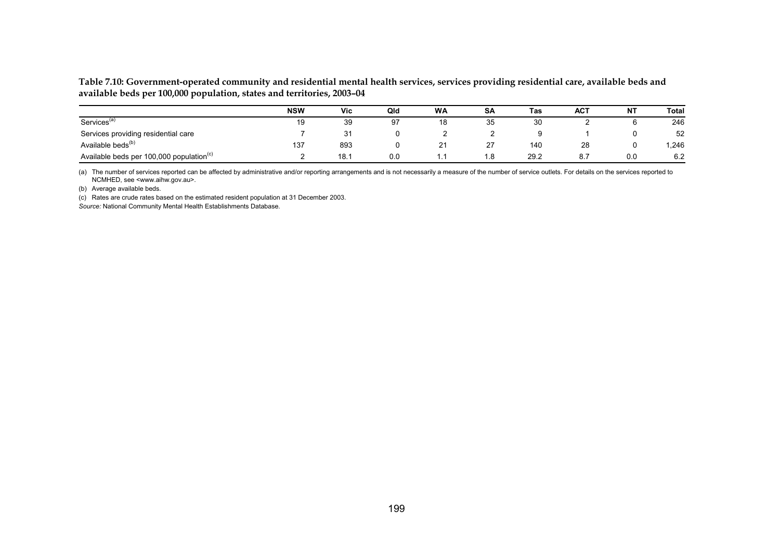**Table 7.10: Government-operated community and residential mental health services, services providing residential care, available beds and available beds per 100,000 population, states and territories, 2003–04** 

|                                                      | <b>NSW</b> | <b>Vic</b> | Qld | <b>WA</b>        | <b>SA</b>      | Tas  | <b>ACT</b> | NT  | Total |
|------------------------------------------------------|------------|------------|-----|------------------|----------------|------|------------|-----|-------|
| Services <sup>(a)</sup>                              | 19         | 39         | 97  | 18               | 35             | 30   |            | O   | 246   |
| Services providing residential care                  |            | 21         |     |                  |                |      |            |     | 52    |
| Available beds <sup>(b)</sup>                        | 137        | 893        |     | n,<br>$\epsilon$ | 27<br><u>_</u> | 140  | 28         | 0   | .246  |
| Available beds per 100,000 population <sup>(c)</sup> |            | 18.        | 0.0 | . .              | 1.8            | 29.2 | 8.7        | 0.0 | 6.2   |

(a) The number of services reported can be affected by administrative and/or reporting arrangements and is not necessarily a measure of the number of service outlets. For details on the services reported to NCMHED, see <www.aihw.gov.au>.

(b) Average available beds.

(c) Rates are crude rates based on the estimated resident population at 31 December 2003.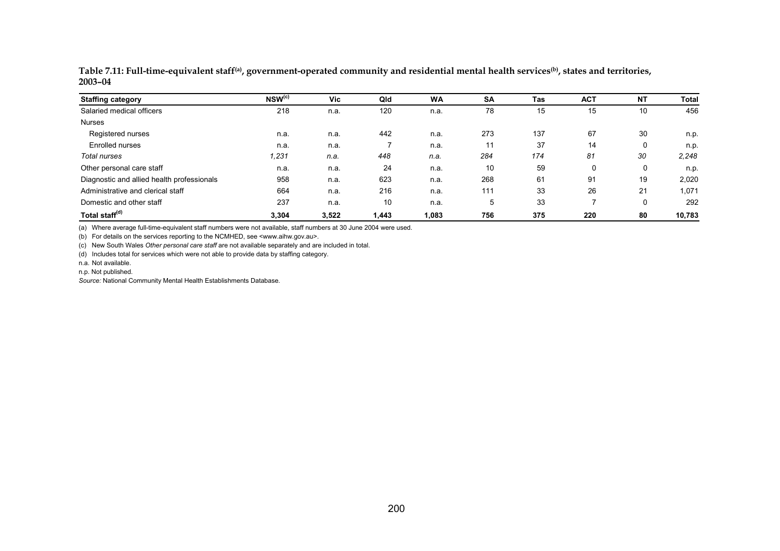| <b>Staffing category</b>                   | NSW <sup>(c)</sup> | Vic   | Qld   | <b>WA</b> | <b>SA</b> | Tas | <b>ACT</b> | <b>NT</b> | Total  |
|--------------------------------------------|--------------------|-------|-------|-----------|-----------|-----|------------|-----------|--------|
| Salaried medical officers                  | 218                | n.a.  | 120   | n.a.      | 78        | 15  | 15         | 10        | 456    |
| <b>Nurses</b>                              |                    |       |       |           |           |     |            |           |        |
| Registered nurses                          | n.a.               | n.a.  | 442   | n.a.      | 273       | 137 | 67         | 30        | n.p.   |
| Enrolled nurses                            | n.a.               | n.a.  |       | n.a.      | 11        | 37  | 14         | 0         | n.p.   |
| Total nurses                               | 1,231              | n.a.  | 448   | n.a.      | 284       | 174 | 81         | 30        | 2,248  |
| Other personal care staff                  | n.a.               | n.a.  | 24    | n.a.      | 10        | 59  | 0          | 0         | n.p.   |
| Diagnostic and allied health professionals | 958                | n.a.  | 623   | n.a.      | 268       | 61  | 91         | 19        | 2,020  |
| Administrative and clerical staff          | 664                | n.a.  | 216   | n.a.      | 111       | 33  | 26         | 21        | 1,071  |
| Domestic and other staff                   | 237                | n.a.  | 10    | n.a.      | 5         | 33  |            | 0         | 292    |
| Total staff <sup>(d)</sup>                 | 3,304              | 3,522 | 1,443 | 1,083     | 756       | 375 | 220        | 80        | 10,783 |

**Table 7.11: Full-time-equivalent staff(a), government-operated community and residential mental health services(b), states and territories, 2003–04** 

(a) Where average full-time-equivalent staff numbers were not available, staff numbers at 30 June 2004 were used.

(b) For details on the services reporting to the NCMHED, see <www.aihw.gov.au>.

(c) New South Wales *Other personal care staff* are not available separately and are included in total.

(d) Includes total for services which were not able to provide data by staffing category.

n.a. Not available.

n.p. Not published.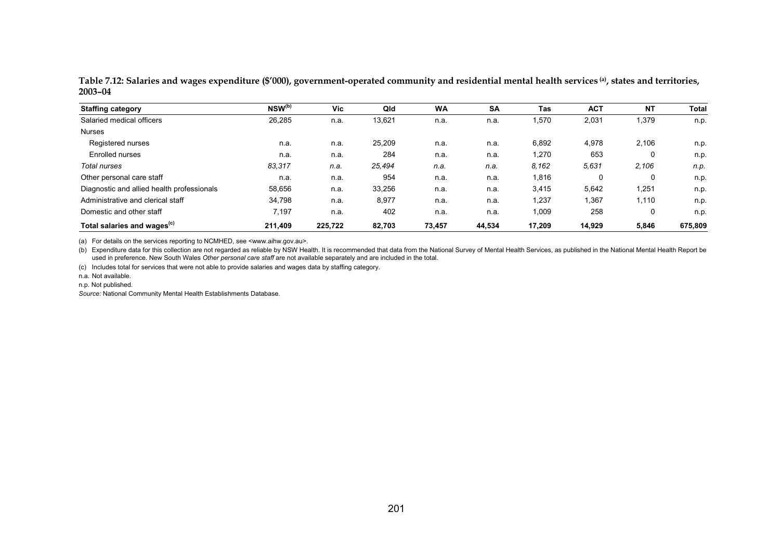**Table 7.12: Salaries and wages expenditure (\$'000), government-operated community and residential mental health services (a), states and territories, 2003–04** 

| <b>Staffing category</b>                   | $NSW^{(b)}$ | Vic     | Qld    | <b>WA</b> | <b>SA</b> | Tas    | <b>ACT</b> | <b>NT</b> | Total   |
|--------------------------------------------|-------------|---------|--------|-----------|-----------|--------|------------|-----------|---------|
| Salaried medical officers                  | 26,285      | n.a.    | 13,621 | n.a.      | n.a.      | .570   | 2,031      | 1,379     | n.p.    |
| <b>Nurses</b>                              |             |         |        |           |           |        |            |           |         |
| Registered nurses                          | n.a.        | n.a.    | 25.209 | n.a.      | n.a.      | 6,892  | 4,978      | 2,106     | n.p.    |
| Enrolled nurses                            | n.a.        | n.a.    | 284    | n.a.      | n.a.      | 1,270  | 653        | 0         | n.p.    |
| Total nurses                               | 83,317      | n.a.    | 25,494 | n.a.      | n.a.      | 8.162  | 5,631      | 2,106     | n.p.    |
| Other personal care staff                  | n.a.        | n.a.    | 954    | n.a.      | n.a.      | 1,816  | 0          | 0         | n.p.    |
| Diagnostic and allied health professionals | 58,656      | n.a.    | 33.256 | n.a.      | n.a.      | 3,415  | 5,642      | 1,251     | n.p.    |
| Administrative and clerical staff          | 34,798      | n.a.    | 8,977  | n.a.      | n.a.      | 1,237  | 1,367      | 1,110     | n.p.    |
| Domestic and other staff                   | 7,197       | n.a.    | 402    | n.a.      | n.a.      | 1,009  | 258        | 0         | n.p.    |
| Total salaries and wages <sup>(c)</sup>    | 211.409     | 225.722 | 82.703 | 73.457    | 44.534    | 17.209 | 14.929     | 5.846     | 675,809 |

(a) For details on the services reporting to NCMHED, see <www.aihw.gov.au>.

(b) Expenditure data for this collection are not regarded as reliable by NSW Health. It is recommended that data from the National Survey of Mental Health Services, as published in the National Mental Health Report be used in preference. New South Wales *Other personal care staff* are not available separately and are included in the total.

(c) Includes total for services that were not able to provide salaries and wages data by staffing category.

n.a. Not available.

n.p. Not published.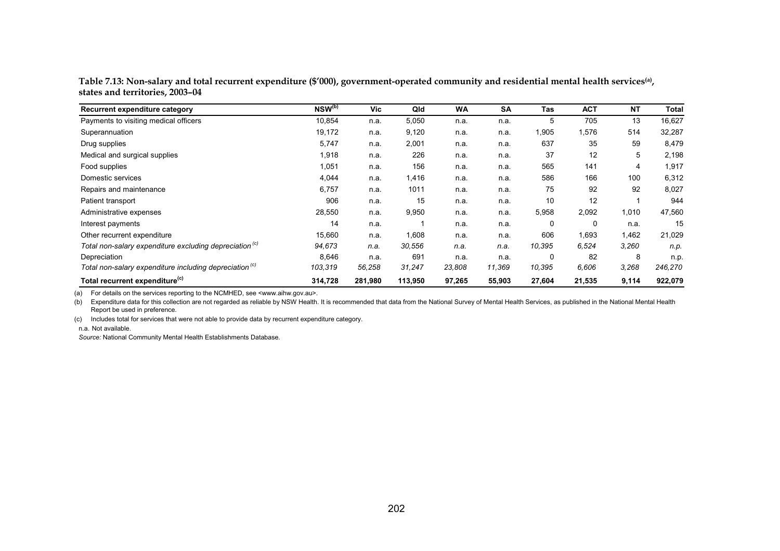| Table 7.13: Non-salary and total recurrent expenditure (\$'000), government-operated community and residential mental health services <sup>(a)</sup> , |  |
|--------------------------------------------------------------------------------------------------------------------------------------------------------|--|
| states and territories, 2003–04                                                                                                                        |  |

| Recurrent expenditure category                                     | $NSW^{(b)}$ | Vic     | Qld     | WA     | <b>SA</b> | Tas    | <b>ACT</b> | <b>NT</b> | <b>Total</b> |
|--------------------------------------------------------------------|-------------|---------|---------|--------|-----------|--------|------------|-----------|--------------|
| Payments to visiting medical officers                              | 10,854      | n.a.    | 5,050   | n.a.   | n.a.      | 5      | 705        | 13        | 16,627       |
| Superannuation                                                     | 19,172      | n.a.    | 9,120   | n.a.   | n.a.      | 1,905  | 1,576      | 514       | 32,287       |
| Drug supplies                                                      | 5,747       | n.a.    | 2,001   | n.a.   | n.a.      | 637    | 35         | 59        | 8,479        |
| Medical and surgical supplies                                      | 1,918       | n.a.    | 226     | n.a.   | n.a.      | 37     | 12         | 5         | 2,198        |
| Food supplies                                                      | 1,051       | n.a.    | 156     | n.a.   | n.a.      | 565    | 141        | 4         | 1,917        |
| Domestic services                                                  | 4,044       | n.a.    | 1,416   | n.a.   | n.a.      | 586    | 166        | 100       | 6,312        |
| Repairs and maintenance                                            | 6,757       | n.a.    | 1011    | n.a.   | n.a.      | 75     | 92         | 92        | 8,027        |
| Patient transport                                                  | 906         | n.a.    | 15      | n.a.   | n.a.      | 10     | 12         |           | 944          |
| Administrative expenses                                            | 28,550      | n.a.    | 9,950   | n.a.   | n.a.      | 5,958  | 2,092      | 1,010     | 47,560       |
| Interest payments                                                  | 14          | n.a.    |         | n.a.   | n.a.      | 0      | 0          | n.a.      | 15           |
| Other recurrent expenditure                                        | 15,660      | n.a.    | 1,608   | n.a.   | n.a.      | 606    | 1,693      | 1,462     | 21,029       |
| Total non-salary expenditure excluding depreciation <sup>(c)</sup> | 94,673      | n.a.    | 30,556  | n.a.   | n.a.      | 10,395 | 6,524      | 3,260     | n.p.         |
| Depreciation                                                       | 8,646       | n.a.    | 691     | n.a.   | n.a.      | 0      | 82         | 8         | n.p.         |
| Total non-salary expenditure including depreciation <sup>(c)</sup> | 103,319     | 56,258  | 31,247  | 23,808 | 11,369    | 10,395 | 6,606      | 3,268     | 246,270      |
| Total recurrent expenditure <sup>(c)</sup>                         | 314,728     | 281,980 | 113,950 | 97,265 | 55,903    | 27,604 | 21,535     | 9,114     | 922,079      |

(a) For details on the services reporting to the NCMHED, see <www.aihw.gov.au>.

(b) Expenditure data for this collection are not regarded as reliable by NSW Health. It is recommended that data from the National Survey of Mental Health Services, as published in the National Mental Health Report be used in preference.

(c) Includes total for services that were not able to provide data by recurrent expenditure category.

n.a. Not available.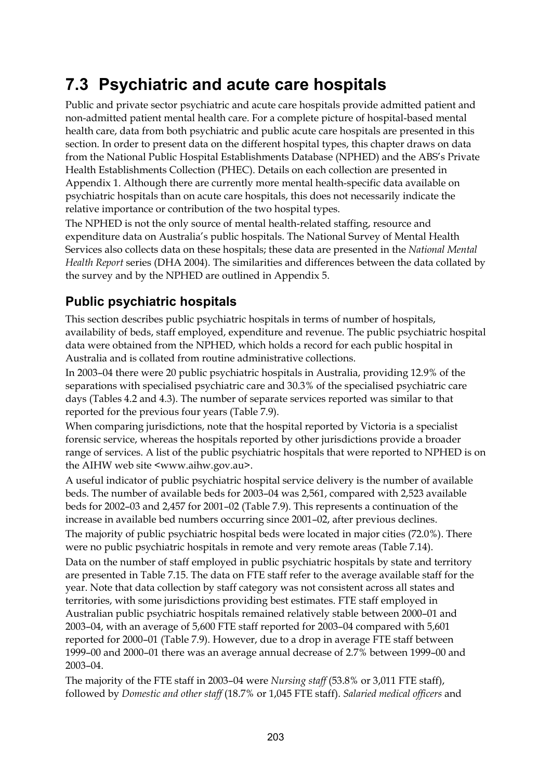# **7.3 Psychiatric and acute care hospitals**

Public and private sector psychiatric and acute care hospitals provide admitted patient and non-admitted patient mental health care. For a complete picture of hospital-based mental health care, data from both psychiatric and public acute care hospitals are presented in this section. In order to present data on the different hospital types, this chapter draws on data from the National Public Hospital Establishments Database (NPHED) and the ABS's Private Health Establishments Collection (PHEC). Details on each collection are presented in Appendix 1. Although there are currently more mental health-specific data available on psychiatric hospitals than on acute care hospitals, this does not necessarily indicate the relative importance or contribution of the two hospital types.

The NPHED is not the only source of mental health-related staffing, resource and expenditure data on Australia's public hospitals. The National Survey of Mental Health Services also collects data on these hospitals; these data are presented in the *National Mental Health Report* series (DHA 2004). The similarities and differences between the data collated by the survey and by the NPHED are outlined in Appendix 5.

### **Public psychiatric hospitals**

This section describes public psychiatric hospitals in terms of number of hospitals, availability of beds, staff employed, expenditure and revenue. The public psychiatric hospital data were obtained from the NPHED, which holds a record for each public hospital in Australia and is collated from routine administrative collections.

In 2003–04 there were 20 public psychiatric hospitals in Australia, providing 12.9% of the separations with specialised psychiatric care and 30.3% of the specialised psychiatric care days (Tables 4.2 and 4.3). The number of separate services reported was similar to that reported for the previous four years (Table 7.9).

When comparing jurisdictions, note that the hospital reported by Victoria is a specialist forensic service, whereas the hospitals reported by other jurisdictions provide a broader range of services. A list of the public psychiatric hospitals that were reported to NPHED is on the AIHW web site <www.aihw.gov.au>.

A useful indicator of public psychiatric hospital service delivery is the number of available beds. The number of available beds for 2003–04 was 2,561, compared with 2,523 available beds for 2002–03 and 2,457 for 2001–02 (Table 7.9). This represents a continuation of the increase in available bed numbers occurring since 2001–02, after previous declines. The majority of public psychiatric hospital beds were located in major cities (72.0%). There were no public psychiatric hospitals in remote and very remote areas (Table 7.14).

Data on the number of staff employed in public psychiatric hospitals by state and territory are presented in Table 7.15. The data on FTE staff refer to the average available staff for the year. Note that data collection by staff category was not consistent across all states and territories, with some jurisdictions providing best estimates. FTE staff employed in Australian public psychiatric hospitals remained relatively stable between 2000–01 and 2003–04, with an average of 5,600 FTE staff reported for 2003–04 compared with 5,601 reported for 2000–01 (Table 7.9). However, due to a drop in average FTE staff between 1999–00 and 2000–01 there was an average annual decrease of 2.7% between 1999–00 and 2003–04.

The majority of the FTE staff in 2003–04 were *Nursing staff* (53.8% or 3,011 FTE staff), followed by *Domestic and other staff* (18.7% or 1,045 FTE staff). *Salaried medical officers* and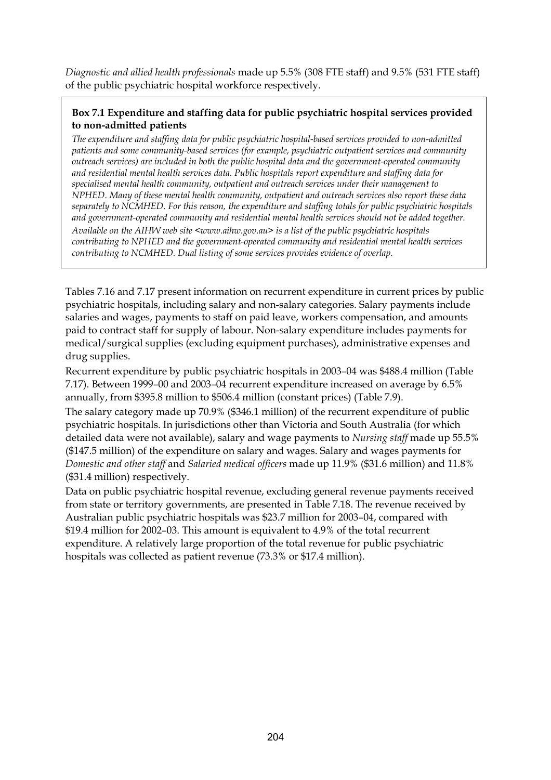*Diagnostic and allied health professionals* made up 5.5% (308 FTE staff) and 9.5% (531 FTE staff) of the public psychiatric hospital workforce respectively.

### **Box 7.1 Expenditure and staffing data for public psychiatric hospital services provided to non-admitted patients**

*The expenditure and staffing data for public psychiatric hospital-based services provided to non-admitted patients and some community-based services (for example, psychiatric outpatient services and community outreach services) are included in both the public hospital data and the government-operated community and residential mental health services data. Public hospitals report expenditure and staffing data for specialised mental health community, outpatient and outreach services under their management to NPHED. Many of these mental health community, outpatient and outreach services also report these data separately to NCMHED. For this reason, the expenditure and staffing totals for public psychiatric hospitals and government-operated community and residential mental health services should not be added together. Available on the AIHW web site <www.aihw.gov.au> is a list of the public psychiatric hospitals contributing to NPHED and the government-operated community and residential mental health services contributing to NCMHED. Dual listing of some services provides evidence of overlap.* 

Tables 7.16 and 7.17 present information on recurrent expenditure in current prices by public psychiatric hospitals, including salary and non-salary categories. Salary payments include salaries and wages, payments to staff on paid leave, workers compensation, and amounts paid to contract staff for supply of labour. Non-salary expenditure includes payments for medical/surgical supplies (excluding equipment purchases), administrative expenses and drug supplies.

Recurrent expenditure by public psychiatric hospitals in 2003–04 was \$488.4 million (Table 7.17). Between 1999–00 and 2003–04 recurrent expenditure increased on average by 6.5% annually, from \$395.8 million to \$506.4 million (constant prices) (Table 7.9).

The salary category made up 70.9% (\$346.1 million) of the recurrent expenditure of public psychiatric hospitals. In jurisdictions other than Victoria and South Australia (for which detailed data were not available), salary and wage payments to *Nursing staff* made up 55.5% (\$147.5 million) of the expenditure on salary and wages. Salary and wages payments for *Domestic and other staff* and *Salaried medical officers* made up 11.9% (\$31.6 million) and 11.8% (\$31.4 million) respectively.

Data on public psychiatric hospital revenue, excluding general revenue payments received from state or territory governments, are presented in Table 7.18. The revenue received by Australian public psychiatric hospitals was \$23.7 million for 2003–04, compared with \$19.4 million for 2002–03. This amount is equivalent to 4.9% of the total recurrent expenditure. A relatively large proportion of the total revenue for public psychiatric hospitals was collected as patient revenue (73.3% or \$17.4 million).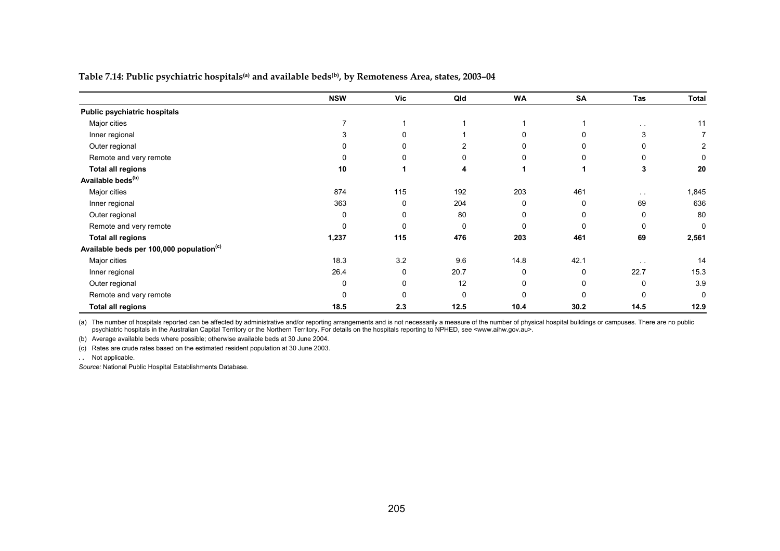**Table 7.14: Public psychiatric hospitals(a) and available beds(b), by Remoteness Area, states, 2003–04** 

|                                                      | <b>NSW</b> | <b>Vic</b> | Qld          | <b>WA</b> | <b>SA</b> | Tas           | Total       |
|------------------------------------------------------|------------|------------|--------------|-----------|-----------|---------------|-------------|
| Public psychiatric hospitals                         |            |            |              |           |           |               |             |
| Major cities                                         |            |            |              |           |           | $\sim$ $\sim$ | 11          |
| Inner regional                                       |            | 0          |              |           |           | 3             |             |
| Outer regional                                       | 0          | 0          |              |           |           |               | 2           |
| Remote and very remote                               | n          | 0          | <sup>0</sup> |           | 0         |               | $\Omega$    |
| <b>Total all regions</b>                             | 10         | 1          | 4            |           |           | 3             | 20          |
| Available beds <sup>(b)</sup>                        |            |            |              |           |           |               |             |
| Major cities                                         | 874        | 115        | 192          | 203       | 461       | $\sim$ $\sim$ | 1,845       |
| Inner regional                                       | 363        | 0          | 204          | 0         | 0         | 69            | 636         |
| Outer regional                                       | 0          | 0          | 80           | 0         | 0         | 0             | 80          |
| Remote and very remote                               | 0          | $\Omega$   | $\mathbf{0}$ | $\Omega$  | $\Omega$  | 0             | 0           |
| <b>Total all regions</b>                             | 1,237      | 115        | 476          | 203       | 461       | 69            | 2,561       |
| Available beds per 100,000 population <sup>(c)</sup> |            |            |              |           |           |               |             |
| Major cities                                         | 18.3       | 3.2        | 9.6          | 14.8      | 42.1      |               | 14          |
| Inner regional                                       | 26.4       | 0          | 20.7         | $\Omega$  | $\Omega$  | 22.7          | 15.3        |
| Outer regional                                       | 0          | 0          | 12           | 0         | 0         | 0             | 3.9         |
| Remote and very remote                               | 0          | $\Omega$   | $\Omega$     | ∩         | ŋ         |               | $\mathbf 0$ |
| <b>Total all regions</b>                             | 18.5       | 2.3        | 12.5         | 10.4      | 30.2      | 14.5          | 12.9        |

(a) The number of hospitals reported can be affected by administrative and/or reporting arrangements and is not necessarily a measure of the number of physical hospital buildings or campuses. There are no public psychiatric hospitals in the Australian Capital Territory or the Northern Territory. For details on the hospitals reporting to NPHED, see <www.aihw.gov.au>.

(b) Average available beds where possible; otherwise available beds at 30 June 2004.

(c) Rates are crude rates based on the estimated resident population at 30 June 2003.

**. .** Not applicable.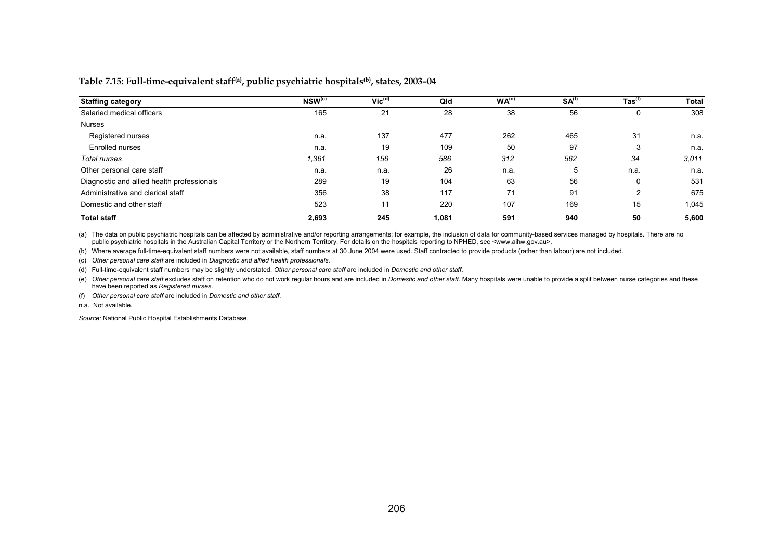**Table 7.15: Full-time-equivalent staff(a), public psychiatric hospitals(b), states, 2003–04** 

| <b>Staffing category</b>                   | $NSW^{(c)}$ | $Vic^{(d)}$ | Qld   | WA <sup>(e)</sup> | SA <sup>(f)</sup> | $\mathsf{Tas}^{(\mathsf{f})}$ | <b>Total</b> |
|--------------------------------------------|-------------|-------------|-------|-------------------|-------------------|-------------------------------|--------------|
| Salaried medical officers                  | 165         | 21          | 28    | 38                | 56                | 0                             | 308          |
| <b>Nurses</b>                              |             |             |       |                   |                   |                               |              |
| Registered nurses                          | n.a.        | 137         | 477   | 262               | 465               | 31                            | n.a.         |
| Enrolled nurses                            | n.a.        | 19          | 109   | 50                | 97                | 3                             | n.a.         |
| Total nurses                               | 1,361       | 156         | 586   | 312               | 562               | 34                            | 3,011        |
| Other personal care staff                  | n.a.        | n.a.        | 26    | n.a.              | 5                 | n.a.                          | n.a.         |
| Diagnostic and allied health professionals | 289         | 19          | 104   | 63                | 56                | 0                             | 531          |
| Administrative and clerical staff          | 356         | 38          | 117   | 71                | 91                | 2                             | 675          |
| Domestic and other staff                   | 523         | 11          | 220   | 107               | 169               | 15                            | 1,045        |
| <b>Total staff</b>                         | 2,693       | 245         | 1,081 | 591               | 940               | 50                            | 5,600        |

(a) The data on public psychiatric hospitals can be affected by administrative and/or reporting arrangements; for example, the inclusion of data for community-based services managed by hospitals. There are no public psychiatric hospitals in the Australian Capital Territory or the Northern Territory. For details on the hospitals reporting to NPHED, see <www.aihw.gov.au>.

(b) Where average full-time-equivalent staff numbers were not available, staff numbers at 30 June 2004 were used. Staff contracted to provide products (rather than labour) are not included.

(c) *Other personal care staff* are included in *Diagnostic and allied health professionals*.

(d) Full-time-equivalent staff numbers may be slightly understated. *Other personal care staff* are included in *Domestic and other staff*.

(e) Other personal care staff excludes staff on retention who do not work regular hours and are included in Domestic and other staff. Many hospitals were unable to provide a split between nurse categories and these have been reported as *Registered nurses*.

(f) *Other personal care staff* are included in *Domestic and other staff*.

n.a. Not available.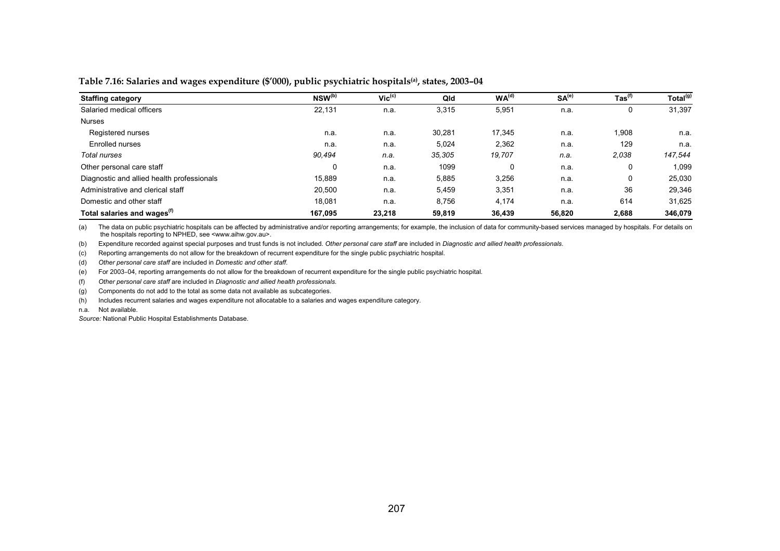#### **Table 7.16: Salaries and wages expenditure (\$'000), public psychiatric hospitals(a), states, 2003–04**

| <b>Staffing category</b>                   | NSW <sup>(b)</sup> | $\overline{\mathsf{Vic}^{(\mathsf{c})}}$ | Qld    | WA <sup>(d)</sup> | SA <sup>(e)</sup> | $\mathsf{ Tas}^{(\mathsf{f})}$ | Total <sup>(g)</sup> |
|--------------------------------------------|--------------------|------------------------------------------|--------|-------------------|-------------------|--------------------------------|----------------------|
| Salaried medical officers                  | 22,131             | n.a.                                     | 3,315  | 5,951             | n.a.              | U                              | 31,397               |
| <b>Nurses</b>                              |                    |                                          |        |                   |                   |                                |                      |
| Registered nurses                          | n.a.               | n.a.                                     | 30,281 | 17,345            | n.a.              | 1,908                          | n.a.                 |
| Enrolled nurses                            | n.a.               | n.a.                                     | 5,024  | 2,362             | n.a.              | 129                            | n.a.                 |
| Total nurses                               | 90.494             | n.a.                                     | 35.305 | 19,707            | n.a.              | 2,038                          | 147,544              |
| Other personal care staff                  | 0                  | n.a.                                     | 1099   | 0                 | n.a.              | 0                              | 1,099                |
| Diagnostic and allied health professionals | 15.889             | n.a.                                     | 5,885  | 3,256             | n.a.              | 0                              | 25,030               |
| Administrative and clerical staff          | 20.500             | n.a.                                     | 5,459  | 3,351             | n.a.              | 36                             | 29,346               |
| Domestic and other staff                   | 18.081             | n.a.                                     | 8,756  | 4,174             | n.a.              | 614                            | 31,625               |
| Total salaries and wages <sup>(f)</sup>    | 167.095            | 23,218                                   | 59.819 | 36,439            | 56,820            | 2.688                          | 346,079              |

(a) The data on public psychiatric hospitals can be affected by administrative and/or reporting arrangements; for example, the inclusion of data for community-based services managed by hospitals. For details on the hospitals reporting to NPHED, see <www.aihw.gov.au>.

(b) Expenditure recorded against special purposes and trust funds is not included. *Other personal care staff* are included in *Diagnostic and allied health professionals*.

(c) Reporting arrangements do not allow for the breakdown of recurrent expenditure for the single public psychiatric hospital.

(d) *Other personal care staff* are included in *Domestic and other staff*.

(e) For 2003–04, reporting arrangements do not allow for the breakdown of recurrent expenditure for the single public psychiatric hospital.

(f) *Other personal care staff* are included in *Diagnostic and allied health professionals.*

(g) Components do not add to the total as some data not available as subcategories.

(h) Includes recurrent salaries and wages expenditure not allocatable to a salaries and wages expenditure category.

n.a. Not available.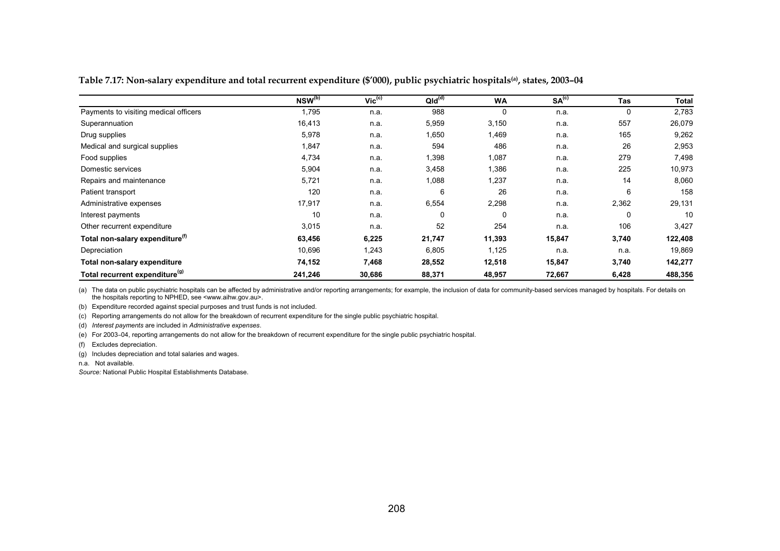| Table 7.17: Non-salary expenditure and total recurrent expenditure (\$'000), public psychiatric hospitals <sup>(a)</sup> , states, 2003-04 |
|--------------------------------------------------------------------------------------------------------------------------------------------|
|--------------------------------------------------------------------------------------------------------------------------------------------|

|                                             | NSW <sup>(b)</sup> | $\mathsf{Vic}^{\text{(c)}}$ | QId <sup>(d)</sup> | <b>WA</b> | SA <sup>(c)</sup> | <b>Tas</b> | Total   |
|---------------------------------------------|--------------------|-----------------------------|--------------------|-----------|-------------------|------------|---------|
| Payments to visiting medical officers       | 1,795              | n.a.                        | 988                | 0         | n.a.              | 0          | 2,783   |
| Superannuation                              | 16,413             | n.a.                        | 5,959              | 3,150     | n.a.              | 557        | 26,079  |
| Drug supplies                               | 5,978              | n.a.                        | 1,650              | 1,469     | n.a.              | 165        | 9,262   |
| Medical and surgical supplies               | 1,847              | n.a.                        | 594                | 486       | n.a.              | 26         | 2,953   |
| Food supplies                               | 4,734              | n.a.                        | 1,398              | 1,087     | n.a.              | 279        | 7,498   |
| Domestic services                           | 5,904              | n.a.                        | 3,458              | 1,386     | n.a.              | 225        | 10,973  |
| Repairs and maintenance                     | 5,721              | n.a.                        | 1,088              | 1,237     | n.a.              | 14         | 8,060   |
| Patient transport                           | 120                | n.a.                        | 6                  | 26        | n.a.              | 6          | 158     |
| Administrative expenses                     | 17,917             | n.a.                        | 6,554              | 2,298     | n.a.              | 2,362      | 29,131  |
| Interest payments                           | 10                 | n.a.                        | 0                  | 0         | n.a.              | 0          | 10      |
| Other recurrent expenditure                 | 3,015              | n.a.                        | 52                 | 254       | n.a.              | 106        | 3,427   |
| Total non-salary expenditure <sup>(1)</sup> | 63,456             | 6,225                       | 21,747             | 11,393    | 15,847            | 3,740      | 122,408 |
| Depreciation                                | 10,696             | 1,243                       | 6,805              | 1,125     | n.a.              | n.a.       | 19,869  |
| Total non-salary expenditure                | 74,152             | 7,468                       | 28,552             | 12,518    | 15,847            | 3,740      | 142,277 |
| Total recurrent expenditure <sup>(g)</sup>  | 241,246            | 30,686                      | 88,371             | 48,957    | 72,667            | 6,428      | 488,356 |

(a) The data on public psychiatric hospitals can be affected by administrative and/or reporting arrangements; for example, the inclusion of data for community-based services managed by hospitals. For details on the hospitals reporting to NPHED, see <www.aihw.gov.au>.

(b) Expenditure recorded against special purposes and trust funds is not included.

(c) Reporting arrangements do not allow for the breakdown of recurrent expenditure for the single public psychiatric hospital.

(d) *Interest payments* are included in *Administrative expenses*.

(e) For 2003–04, reporting arrangements do not allow for the breakdown of recurrent expenditure for the single public psychiatric hospital.

(f) Excludes depreciation.

(g) Includes depreciation and total salaries and wages.

n.a. Not available.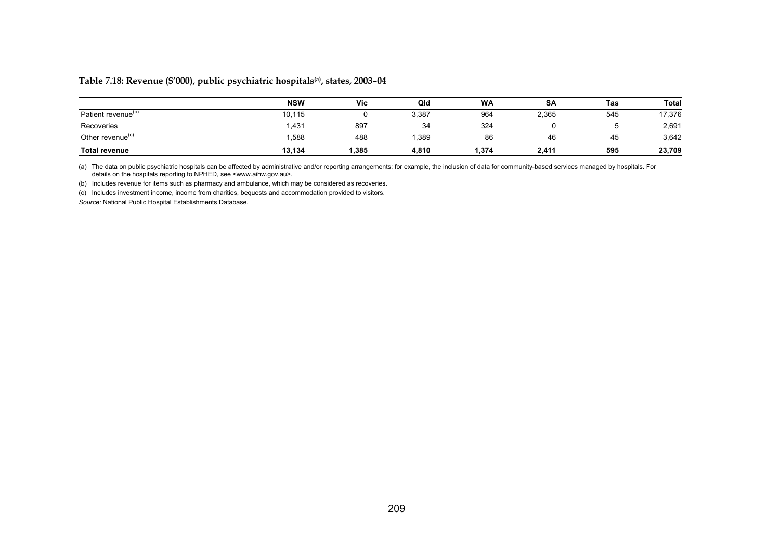### **Table 7.18: Revenue (\$'000), public psychiatric hospitals(a), states, 2003–04**

|                                | <b>NSW</b> | Vic   | Qld   | <b>WA</b> | SA    | Tas | Total  |
|--------------------------------|------------|-------|-------|-----------|-------|-----|--------|
| Patient revenue <sup>(b)</sup> | 10,115     |       | 3,387 | 964       | 2,365 | 545 | 17,376 |
| Recoveries                     | .431       | 897   | 34    | 324       |       |     | 2,691  |
| Other revenue <sup>(c)</sup>   | .588       | 488   | ,389  | 86        | 46    | 45  | 3,642  |
| <b>Total revenue</b>           | 13,134     | 1,385 | 4,810 | .374      | 2,411 | 595 | 23,709 |

(a) The data on public psychiatric hospitals can be affected by administrative and/or reporting arrangements; for example, the inclusion of data for community-based services managed by hospitals. For<br>details on the hospit

(b) Includes revenue for items such as pharmacy and ambulance, which may be considered as recoveries.

(c) Includes investment income, income from charities, bequests and accommodation provided to visitors.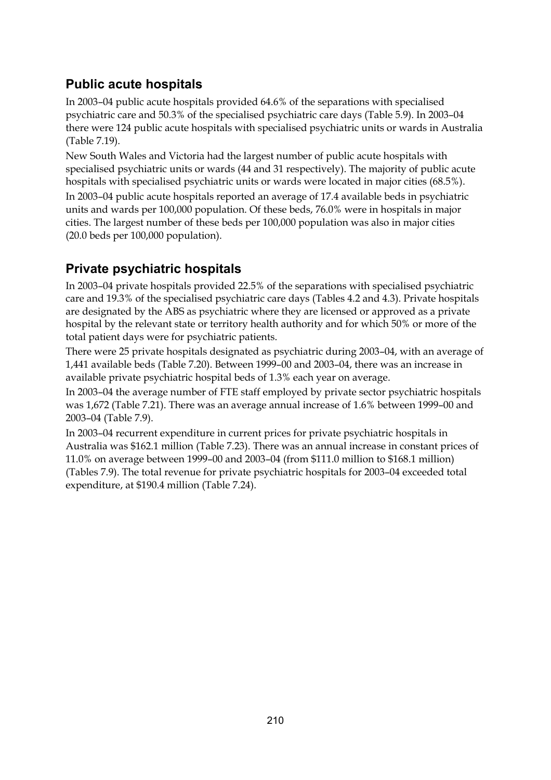### **Public acute hospitals**

In 2003–04 public acute hospitals provided 64.6% of the separations with specialised psychiatric care and 50.3% of the specialised psychiatric care days (Table 5.9). In 2003–04 there were 124 public acute hospitals with specialised psychiatric units or wards in Australia (Table 7.19).

New South Wales and Victoria had the largest number of public acute hospitals with specialised psychiatric units or wards (44 and 31 respectively). The majority of public acute hospitals with specialised psychiatric units or wards were located in major cities (68.5%).

In 2003–04 public acute hospitals reported an average of 17.4 available beds in psychiatric units and wards per 100,000 population. Of these beds, 76.0% were in hospitals in major cities. The largest number of these beds per 100,000 population was also in major cities (20.0 beds per 100,000 population).

### **Private psychiatric hospitals**

In 2003–04 private hospitals provided 22.5% of the separations with specialised psychiatric care and 19.3% of the specialised psychiatric care days (Tables 4.2 and 4.3). Private hospitals are designated by the ABS as psychiatric where they are licensed or approved as a private hospital by the relevant state or territory health authority and for which 50% or more of the total patient days were for psychiatric patients.

There were 25 private hospitals designated as psychiatric during 2003–04, with an average of 1,441 available beds (Table 7.20). Between 1999–00 and 2003–04, there was an increase in available private psychiatric hospital beds of 1.3% each year on average.

In 2003–04 the average number of FTE staff employed by private sector psychiatric hospitals was 1,672 (Table 7.21). There was an average annual increase of 1.6% between 1999–00 and 2003–04 (Table 7.9).

In 2003–04 recurrent expenditure in current prices for private psychiatric hospitals in Australia was \$162.1 million (Table 7.23). There was an annual increase in constant prices of 11.0% on average between 1999–00 and 2003–04 (from \$111.0 million to \$168.1 million) (Tables 7.9). The total revenue for private psychiatric hospitals for 2003–04 exceeded total expenditure, at \$190.4 million (Table 7.24).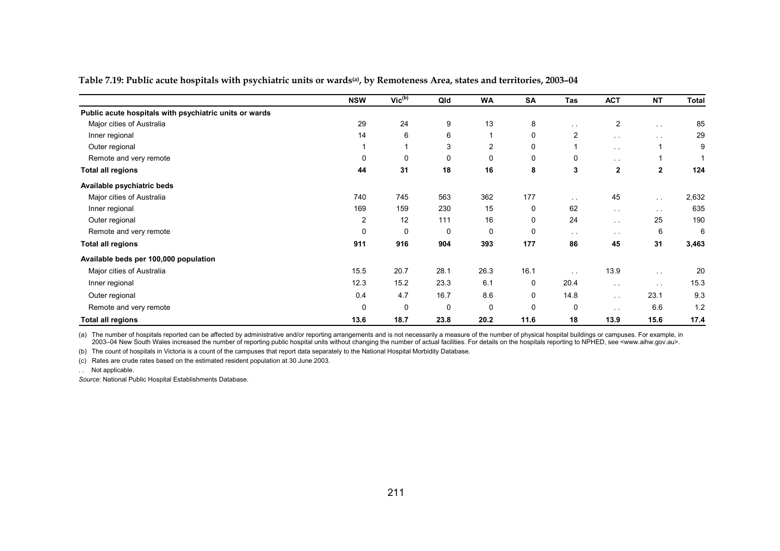|                                                        | <b>NSW</b>     | $Vic^{(b)}$ | Qld  | <b>WA</b>      | SA          | Tas                  | <b>ACT</b>      | <b>NT</b>     | <b>Total</b> |
|--------------------------------------------------------|----------------|-------------|------|----------------|-------------|----------------------|-----------------|---------------|--------------|
| Public acute hospitals with psychiatric units or wards |                |             |      |                |             |                      |                 |               |              |
| Major cities of Australia                              | 29             | 24          | 9    | 13             | 8           | $\sim$ 10 $\pm$      | $\overline{c}$  | $\sim$ $-$    | 85           |
| Inner regional                                         | 14             | 6           | 6    |                | 0           | $\overline{2}$       | $\sim$ $\sim$   | $\sim$ $-$    | 29           |
| Outer regional                                         |                |             | 3    | $\overline{c}$ | 0           |                      | $\sim$ $-$      |               | 9            |
| Remote and very remote                                 | 0              | 0           | 0    | 0              | 0           | 0                    | $\sim$          |               |              |
| <b>Total all regions</b>                               | 44             | 31          | 18   | 16             | 8           | 3                    | $\mathbf{2}$    | $\mathbf{2}$  | 124          |
| Available psychiatric beds                             |                |             |      |                |             |                      |                 |               |              |
| Major cities of Australia                              | 740            | 745         | 563  | 362            | 177         | $\sim$ 10 $\pm$      | 45              | $\sim$ $\sim$ | 2,632        |
| Inner regional                                         | 169            | 159         | 230  | 15             | 0           | 62                   | $\sim$ $\sim$   | $\sim$ $-$    | 635          |
| Outer regional                                         | $\overline{c}$ | 12          | 111  | 16             | $\mathbf 0$ | 24                   | $\sim$ $\sim$   | 25            | 190          |
| Remote and very remote                                 | 0              | 0           | 0    | 0              | 0           | $\sim$ 10 $\pm$      | $\sim$ $\sim$   | 6             | 6            |
| <b>Total all regions</b>                               | 911            | 916         | 904  | 393            | 177         | 86                   | 45              | 31            | 3,463        |
| Available beds per 100,000 population                  |                |             |      |                |             |                      |                 |               |              |
| Major cities of Australia                              | 15.5           | 20.7        | 28.1 | 26.3           | 16.1        | $\ddot{\phantom{1}}$ | 13.9            | $\sim$ $\sim$ | 20           |
| Inner regional                                         | 12.3           | 15.2        | 23.3 | 6.1            | 0           | 20.4                 | $\sim$ $\sim$   | $\sim$ $\sim$ | 15.3         |
| Outer regional                                         | 0.4            | 4.7         | 16.7 | 8.6            | $\mathbf 0$ | 14.8                 | $\sim$ $\sim$   | 23.1          | 9.3          |
| Remote and very remote                                 | $\mathbf 0$    | 0           | 0    | $\Omega$       | 0           | 0                    | $\sim$ 10 $\pm$ | 6.6           | 1.2          |
| <b>Total all regions</b>                               | 13.6           | 18.7        | 23.8 | 20.2           | 11.6        | 18                   | 13.9            | 15.6          | 17.4         |

**Table 7.19: Public acute hospitals with psychiatric units or wards(a), by Remoteness Area, states and territories, 2003–04** 

(a) The number of hospitals reported can be affected by administrative and/or reporting arrangements and is not necessarily a measure of the number of physical hospital buildings or campuses. For example, in 2003–04 New South Wales increased the number of reporting public hospital units without changing the number of actual facilities. For details on the hospitals reporting to NPHED, see <www.aihw.gov.au>.

(b) The count of hospitals in Victoria is a count of the campuses that report data separately to the National Hospital Morbidity Database.

(c) Rates are crude rates based on the estimated resident population at 30 June 2003.

. . Not applicable.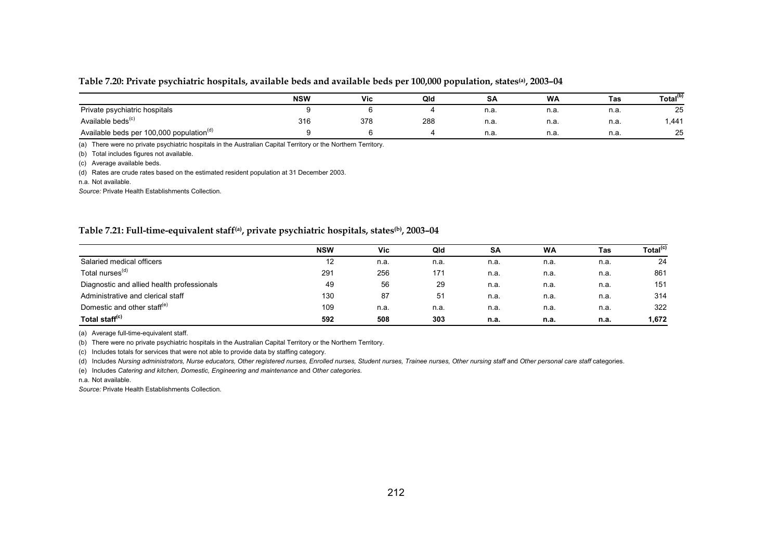#### **Table 7.20: Private psychiatric hospitals, available beds and available beds per 100,000 population, states(a), 2003–04**

|                                                      | <b>NSW</b> | Vic | Qld | . .<br>SА | <b>WA</b> | Tas  | Total <sup>(b)</sup> |
|------------------------------------------------------|------------|-----|-----|-----------|-----------|------|----------------------|
| Private psychiatric hospitals                        |            |     |     | n.a.      | n.a.      | n.a. | 25                   |
| Available beds <sup>(c)</sup>                        | 316        | 378 | 288 | n.a.      | n.a.      | n.a  | .441                 |
| Available beds per 100,000 population <sup>(d)</sup> |            |     |     | n.a.      | n.a.      | n.a  | 25                   |

(a) There were no private psychiatric hospitals in the Australian Capital Territory or the Northern Territory.

(b) Total includes figures not available.

(c) Average available beds.

(d) Rates are crude rates based on the estimated resident population at 31 December 2003.

n.a. Not available.

*Source:* Private Health Establishments Collection.

#### **Table 7.21: Full-time-equivalent staff(a), private psychiatric hospitals, states(b), 2003–04**

|                                            | <b>NSW</b> | <b>Vic</b> | Qld  | SA   | <b>WA</b> | Tas  | Total <sup>(c)</sup> |
|--------------------------------------------|------------|------------|------|------|-----------|------|----------------------|
| Salaried medical officers                  | 12         | n.a.       | n.a. | n.a. | n.a.      | n.a. | 24                   |
| Total nurses <sup>(d)</sup>                | 291        | 256        | 171  | n.a. | n.a.      | n.a. | 861                  |
| Diagnostic and allied health professionals | 49         | 56         | 29   | n.a. | n.a.      | n.a. | 151                  |
| Administrative and clerical staff          | 130        | 87         | 51   | n.a. | n.a.      | n.a. | 314                  |
| Domestic and other staff <sup>(e)</sup>    | 109        | n.a.       | n.a. | n.a. | n.a.      | n.a. | 322                  |
| Total staff <sup>(c)</sup>                 | 592        | 508        | 303  | n.a. | n.a.      | n.a. | 1,672                |

(a) Average full-time-equivalent staff.

(b) There were no private psychiatric hospitals in the Australian Capital Territory or the Northern Territory.

(c) Includes totals for services that were not able to provide data by staffing category.

(d) Includes *Nursing administrators, Nurse educators, Other registered nurses, Enrolled nurses, Student nurses, Trainee nurses, Other nursing staff* and *Other personal care staff* categories.

(e) Includes *Catering and kitchen, Domestic, Engineering and maintenance* and *Other categories*.

n.a. Not available.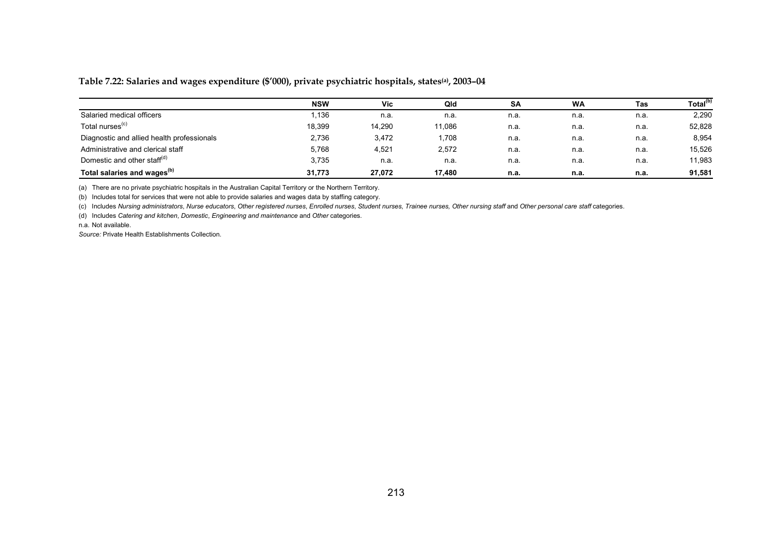### **Table 7.22: Salaries and wages expenditure (\$'000), private psychiatric hospitals, states(a), 2003–04**

|                                            | <b>NSW</b> | Vic    | Qld    | <b>SA</b> | <b>WA</b> | Tas  | Total <sup>(b)</sup> |
|--------------------------------------------|------------|--------|--------|-----------|-----------|------|----------------------|
| Salaried medical officers                  | 1,136      | n.a.   | n.a.   | n.a.      | n.a.      | n.a. | 2,290                |
| Total nurses <sup>(c)</sup>                | 18.399     | 14.290 | 11,086 | n.a.      | n.a.      | n.a. | 52,828               |
| Diagnostic and allied health professionals | 2,736      | 3,472  | 1,708  | n.a.      | n.a.      | n.a. | 8,954                |
| Administrative and clerical staff          | 5,768      | 4,521  | 2,572  | n.a.      | n.a.      | n.a. | 15,526               |
| Domestic and other staff <sup>(d)</sup>    | 3,735      | n.a.   | n.a.   | n.a.      | n.a.      | n.a. | 11,983               |
| Total salaries and wages <sup>(b)</sup>    | 31.773     | 27.072 | 17.480 | n.a.      | n.a.      | n.a. | 91,581               |

(a) There are no private psychiatric hospitals in the Australian Capital Territory or the Northern Territory.

(b) Includes total for services that were not able to provide salaries and wages data by staffing category.

(c) Includes Nursing administrators, Nurse educators, Other registered nurses, Enrolled nurses, Student nurses, Trainee nurses, Other nursing staff and Other personal care staff categories.

(d) Includes *Catering and kitchen*, *Domestic*, *Engineering and maintenance* and *Other* categories.

n.a. Not available.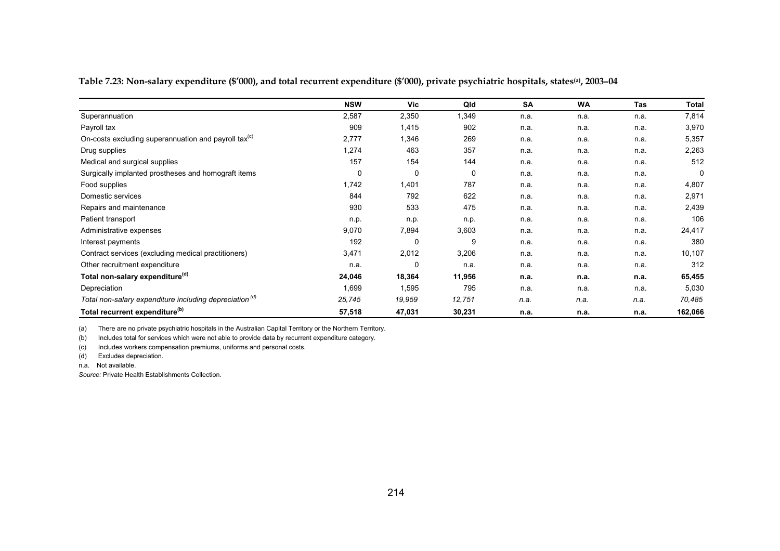|  |  |  | Table 7.23: Non-salary expenditure (\$′000), and total recurrent expenditure (\$′000), private psychiatric hospitals, states(a), 2003–04 |
|--|--|--|------------------------------------------------------------------------------------------------------------------------------------------|
|--|--|--|------------------------------------------------------------------------------------------------------------------------------------------|

|                                                                    | <b>NSW</b> | <b>Vic</b> | Qld    | SA   | <b>WA</b> | Tas  | Total   |
|--------------------------------------------------------------------|------------|------------|--------|------|-----------|------|---------|
| Superannuation                                                     | 2,587      | 2,350      | 1,349  | n.a. | n.a.      | n.a. | 7,814   |
| Payroll tax                                                        | 909        | 1,415      | 902    | n.a. | n.a.      | n.a. | 3,970   |
| On-costs excluding superannuation and payroll tax <sup>(c)</sup>   | 2,777      | 1,346      | 269    | n.a. | n.a.      | n.a. | 5,357   |
| Drug supplies                                                      | 1,274      | 463        | 357    | n.a. | n.a.      | n.a. | 2,263   |
| Medical and surgical supplies                                      | 157        | 154        | 144    | n.a. | n.a.      | n.a. | 512     |
| Surgically implanted prostheses and homograft items                | 0          | 0          | 0      | n.a. | n.a.      | n.a. | 0       |
| Food supplies                                                      | 1,742      | 1,401      | 787    | n.a. | n.a.      | n.a. | 4,807   |
| Domestic services                                                  | 844        | 792        | 622    | n.a. | n.a.      | n.a. | 2,971   |
| Repairs and maintenance                                            | 930        | 533        | 475    | n.a. | n.a.      | n.a. | 2,439   |
| Patient transport                                                  | n.p.       | n.p.       | n.p.   | n.a. | n.a.      | n.a. | 106     |
| Administrative expenses                                            | 9,070      | 7,894      | 3,603  | n.a. | n.a.      | n.a. | 24,417  |
| Interest payments                                                  | 192        | 0          | 9      | n.a. | n.a.      | n.a. | 380     |
| Contract services (excluding medical practitioners)                | 3,471      | 2,012      | 3,206  | n.a. | n.a.      | n.a. | 10,107  |
| Other recruitment expenditure                                      | n.a.       | $\Omega$   | n.a.   | n.a. | n.a.      | n.a. | 312     |
| Total non-salary expenditure <sup>(d)</sup>                        | 24,046     | 18,364     | 11,956 | n.a. | n.a.      | n.a. | 65,455  |
| Depreciation                                                       | 1,699      | 1,595      | 795    | n.a. | n.a.      | n.a. | 5,030   |
| Total non-salary expenditure including depreciation <sup>(d)</sup> | 25,745     | 19,959     | 12,751 | n.a. | n.a.      | n.a. | 70,485  |
| Total recurrent expenditure <sup>(b)</sup>                         | 57,518     | 47,031     | 30,231 | n.a. | n.a.      | n.a. | 162,066 |

(a) There are no private psychiatric hospitals in the Australian Capital Territory or the Northern Territory.

(b) Includes total for services which were not able to provide data by recurrent expenditure category.

(c) Includes workers compensation premiums, uniforms and personal costs.

(d) Excludes depreciation.

n.a. Not available.